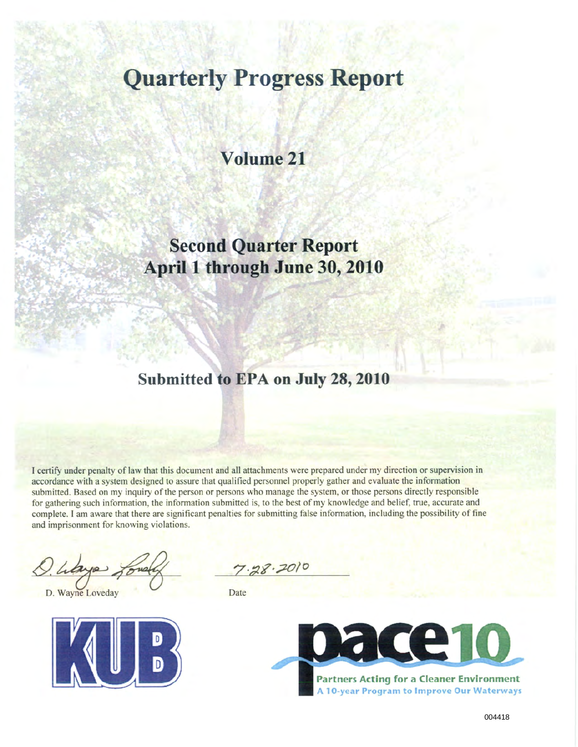# **Quarterly Progress Report**

### **Volume 21**

# **Second Quarter Report April 1 through June 30, 2010**

### **Submitted to EPA on July 28, 2010**

I certify under penalty of law that this document and all attachments were prepared under my direction or supervision in accordance with a system designed to assure that qualified personnel properly gather and evaluate the information submitted. Based on my inquiry of the person or persons who manage the system, or those persons directly responsible for gathering such information, the infomnation submitted is, to the best of my knowledge and belief, true, accurate and complete. I am aware that there are significant penalties for submitting false information, including the possibility of fine and imprisonment for knowing violations.

D. Wayne Loveday Date



 $7.28.2010$ 

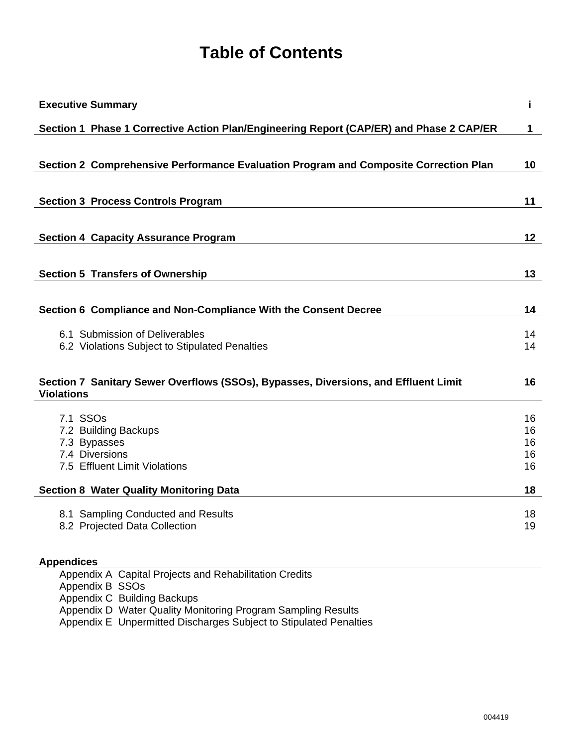# **Table of Contents**

| <b>Executive Summary</b>                                                                                 | j.              |
|----------------------------------------------------------------------------------------------------------|-----------------|
| Section 1 Phase 1 Corrective Action Plan/Engineering Report (CAP/ER) and Phase 2 CAP/ER                  | 1               |
|                                                                                                          |                 |
| Section 2 Comprehensive Performance Evaluation Program and Composite Correction Plan                     | 10              |
|                                                                                                          |                 |
| <b>Section 3 Process Controls Program</b>                                                                | 11              |
| <b>Section 4 Capacity Assurance Program</b>                                                              | 12 <sub>2</sub> |
|                                                                                                          |                 |
| <b>Section 5 Transfers of Ownership</b>                                                                  | 13              |
| Section 6 Compliance and Non-Compliance With the Consent Decree                                          | 14              |
|                                                                                                          |                 |
| 6.1 Submission of Deliverables<br>6.2 Violations Subject to Stipulated Penalties                         | 14<br>14        |
| Section 7 Sanitary Sewer Overflows (SSOs), Bypasses, Diversions, and Effluent Limit<br><b>Violations</b> | 16              |
| 7.1 SSO <sub>s</sub>                                                                                     | 16              |
| 7.2 Building Backups                                                                                     | 16              |
| 7.3 Bypasses                                                                                             | 16              |
| 7.4 Diversions<br>7.5 Effluent Limit Violations                                                          | 16<br>16        |
| <b>Section 8 Water Quality Monitoring Data</b>                                                           | 18              |
| 8.1 Sampling Conducted and Results                                                                       | 18              |
| 8.2 Projected Data Collection                                                                            | 19              |
| <b>Appendices</b>                                                                                        |                 |
| Appendix A Capital Projects and Rehabilitation Credits                                                   |                 |
| Appendix B SSOs                                                                                          |                 |

Appendix C Building Backups

Appendix D Water Quality Monitoring Program Sampling Results

Appendix E Unpermitted Discharges Subject to Stipulated Penalties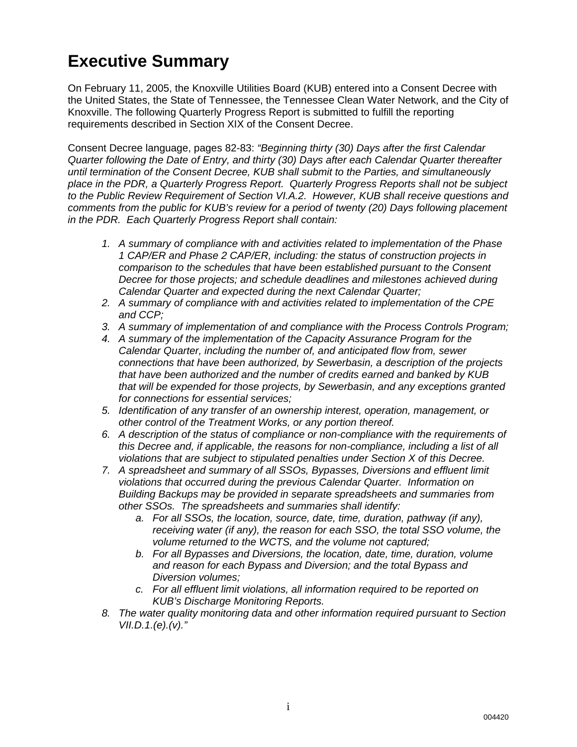# **Executive Summary**

On February 11, 2005, the Knoxville Utilities Board (KUB) entered into a Consent Decree with the United States, the State of Tennessee, the Tennessee Clean Water Network, and the City of Knoxville. The following Quarterly Progress Report is submitted to fulfill the reporting requirements described in Section XIX of the Consent Decree.

Consent Decree language, pages 82-83: *"Beginning thirty (30) Days after the first Calendar Quarter following the Date of Entry, and thirty (30) Days after each Calendar Quarter thereafter until termination of the Consent Decree, KUB shall submit to the Parties, and simultaneously place in the PDR, a Quarterly Progress Report. Quarterly Progress Reports shall not be subject to the Public Review Requirement of Section VI.A.2. However, KUB shall receive questions and comments from the public for KUB's review for a period of twenty (20) Days following placement in the PDR. Each Quarterly Progress Report shall contain:* 

- *1. A summary of compliance with and activities related to implementation of the Phase 1 CAP/ER and Phase 2 CAP/ER, including: the status of construction projects in comparison to the schedules that have been established pursuant to the Consent Decree for those projects; and schedule deadlines and milestones achieved during Calendar Quarter and expected during the next Calendar Quarter;*
- *2. A summary of compliance with and activities related to implementation of the CPE and CCP;*
- *3. A summary of implementation of and compliance with the Process Controls Program;*
- *4. A summary of the implementation of the Capacity Assurance Program for the Calendar Quarter, including the number of, and anticipated flow from, sewer connections that have been authorized, by Sewerbasin, a description of the projects that have been authorized and the number of credits earned and banked by KUB that will be expended for those projects, by Sewerbasin, and any exceptions granted for connections for essential services;*
- *5. Identification of any transfer of an ownership interest, operation, management, or other control of the Treatment Works, or any portion thereof.*
- *6. A description of the status of compliance or non-compliance with the requirements of this Decree and, if applicable, the reasons for non-compliance, including a list of all violations that are subject to stipulated penalties under Section X of this Decree.*
- *7. A spreadsheet and summary of all SSOs, Bypasses, Diversions and effluent limit violations that occurred during the previous Calendar Quarter. Information on Building Backups may be provided in separate spreadsheets and summaries from other SSOs. The spreadsheets and summaries shall identify:* 
	- *a. For all SSOs, the location, source, date, time, duration, pathway (if any), receiving water (if any), the reason for each SSO, the total SSO volume, the volume returned to the WCTS, and the volume not captured;*
	- *b. For all Bypasses and Diversions, the location, date, time, duration, volume and reason for each Bypass and Diversion; and the total Bypass and Diversion volumes;*
	- *c. For all effluent limit violations, all information required to be reported on KUB's Discharge Monitoring Reports.*
- *8. The water quality monitoring data and other information required pursuant to Section VII.D.1.(e).(v)."*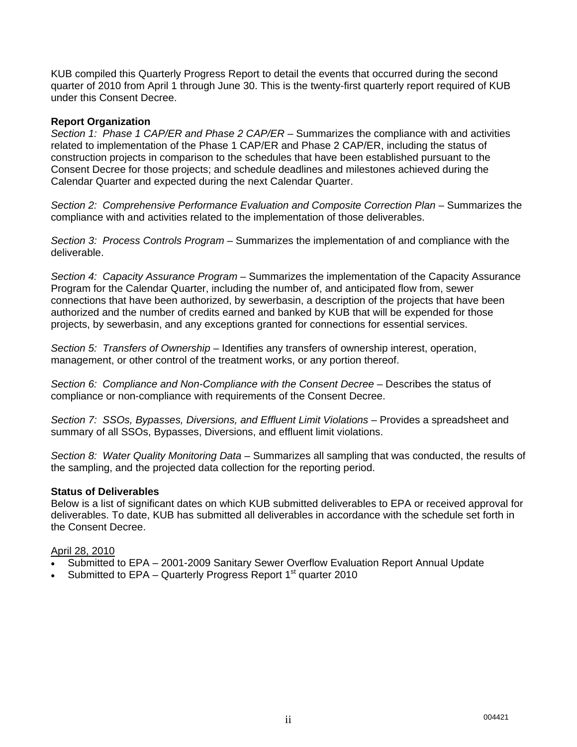KUB compiled this Quarterly Progress Report to detail the events that occurred during the second quarter of 2010 from April 1 through June 30. This is the twenty-first quarterly report required of KUB under this Consent Decree.

#### **Report Organization**

*Section 1: Phase 1 CAP/ER and Phase 2 CAP/ER* – Summarizes the compliance with and activities related to implementation of the Phase 1 CAP/ER and Phase 2 CAP/ER, including the status of construction projects in comparison to the schedules that have been established pursuant to the Consent Decree for those projects; and schedule deadlines and milestones achieved during the Calendar Quarter and expected during the next Calendar Quarter.

*Section 2: Comprehensive Performance Evaluation and Composite Correction Plan* – Summarizes the compliance with and activities related to the implementation of those deliverables.

*Section 3: Process Controls Program* – Summarizes the implementation of and compliance with the deliverable.

*Section 4: Capacity Assurance Program* – Summarizes the implementation of the Capacity Assurance Program for the Calendar Quarter, including the number of, and anticipated flow from, sewer connections that have been authorized, by sewerbasin, a description of the projects that have been authorized and the number of credits earned and banked by KUB that will be expended for those projects, by sewerbasin, and any exceptions granted for connections for essential services.

*Section 5: Transfers of Ownership* – Identifies any transfers of ownership interest, operation, management, or other control of the treatment works, or any portion thereof.

*Section 6: Compliance and Non-Compliance with the Consent Decree* – Describes the status of compliance or non-compliance with requirements of the Consent Decree.

*Section 7: SSOs, Bypasses, Diversions, and Effluent Limit Violations* – Provides a spreadsheet and summary of all SSOs, Bypasses, Diversions, and effluent limit violations.

*Section 8: Water Quality Monitoring Data* – Summarizes all sampling that was conducted, the results of the sampling, and the projected data collection for the reporting period.

#### **Status of Deliverables**

Below is a list of significant dates on which KUB submitted deliverables to EPA or received approval for deliverables. To date, KUB has submitted all deliverables in accordance with the schedule set forth in the Consent Decree.

#### April 28, 2010

- Submitted to EPA 2001-2009 Sanitary Sewer Overflow Evaluation Report Annual Update
- Submitted to  $EPA -$  Quarterly Progress Report  $1<sup>st</sup>$  quarter 2010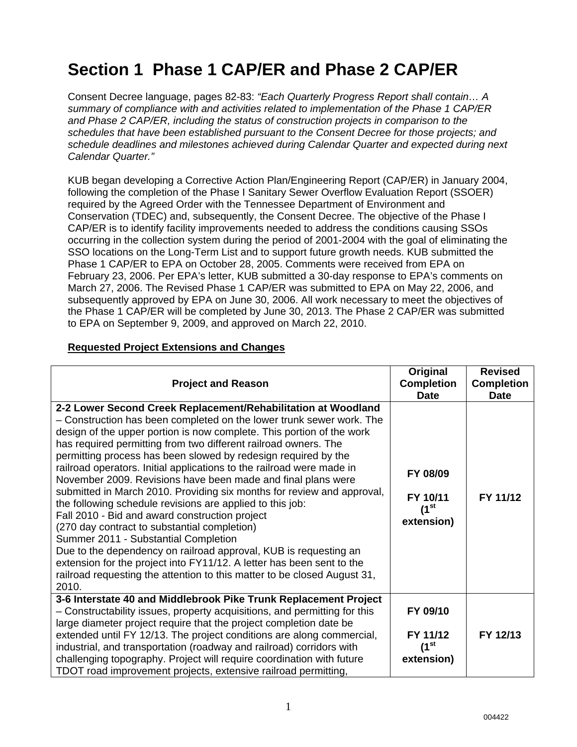# **Section 1 Phase 1 CAP/ER and Phase 2 CAP/ER**

Consent Decree language, pages 82-83: *"Each Quarterly Progress Report shall contain… A summary of compliance with and activities related to implementation of the Phase 1 CAP/ER and Phase 2 CAP/ER, including the status of construction projects in comparison to the schedules that have been established pursuant to the Consent Decree for those projects; and schedule deadlines and milestones achieved during Calendar Quarter and expected during next Calendar Quarter."*

KUB began developing a Corrective Action Plan/Engineering Report (CAP/ER) in January 2004, following the completion of the Phase I Sanitary Sewer Overflow Evaluation Report (SSOER) required by the Agreed Order with the Tennessee Department of Environment and Conservation (TDEC) and, subsequently, the Consent Decree. The objective of the Phase I CAP/ER is to identify facility improvements needed to address the conditions causing SSOs occurring in the collection system during the period of 2001-2004 with the goal of eliminating the SSO locations on the Long-Term List and to support future growth needs. KUB submitted the Phase 1 CAP/ER to EPA on October 28, 2005. Comments were received from EPA on February 23, 2006. Per EPA's letter, KUB submitted a 30-day response to EPA's comments on March 27, 2006. The Revised Phase 1 CAP/ER was submitted to EPA on May 22, 2006, and subsequently approved by EPA on June 30, 2006. All work necessary to meet the objectives of the Phase 1 CAP/ER will be completed by June 30, 2013. The Phase 2 CAP/ER was submitted to EPA on September 9, 2009, and approved on March 22, 2010.

#### **Requested Project Extensions and Changes**

| <b>Project and Reason</b>                                                                                                                                                                                                                                                                                                                                                                                                                                                                                                                                                                                                                                                                                                                                                                                                                                                                                                                                                                                       | Original<br><b>Completion</b><br><b>Date</b>             | <b>Revised</b><br><b>Completion</b><br><b>Date</b> |
|-----------------------------------------------------------------------------------------------------------------------------------------------------------------------------------------------------------------------------------------------------------------------------------------------------------------------------------------------------------------------------------------------------------------------------------------------------------------------------------------------------------------------------------------------------------------------------------------------------------------------------------------------------------------------------------------------------------------------------------------------------------------------------------------------------------------------------------------------------------------------------------------------------------------------------------------------------------------------------------------------------------------|----------------------------------------------------------|----------------------------------------------------|
| 2-2 Lower Second Creek Replacement/Rehabilitation at Woodland<br>- Construction has been completed on the lower trunk sewer work. The<br>design of the upper portion is now complete. This portion of the work<br>has required permitting from two different railroad owners. The<br>permitting process has been slowed by redesign required by the<br>railroad operators. Initial applications to the railroad were made in<br>November 2009. Revisions have been made and final plans were<br>submitted in March 2010. Providing six months for review and approval,<br>the following schedule revisions are applied to this job:<br>Fall 2010 - Bid and award construction project<br>(270 day contract to substantial completion)<br>Summer 2011 - Substantial Completion<br>Due to the dependency on railroad approval, KUB is requesting an<br>extension for the project into FY11/12. A letter has been sent to the<br>railroad requesting the attention to this matter to be closed August 31,<br>2010. | FY 08/09<br>FY 10/11<br>(1 <sup>st</sup> )<br>extension) | FY 11/12                                           |
| 3-6 Interstate 40 and Middlebrook Pike Trunk Replacement Project<br>- Constructability issues, property acquisitions, and permitting for this<br>large diameter project require that the project completion date be<br>extended until FY 12/13. The project conditions are along commercial,<br>industrial, and transportation (roadway and railroad) corridors with                                                                                                                                                                                                                                                                                                                                                                                                                                                                                                                                                                                                                                            | FY 09/10<br>FY 11/12<br>(1 <sup>st</sup> )               | FY 12/13                                           |
| challenging topography. Project will require coordination with future<br>TDOT road improvement projects, extensive railroad permitting,                                                                                                                                                                                                                                                                                                                                                                                                                                                                                                                                                                                                                                                                                                                                                                                                                                                                         | extension)                                               |                                                    |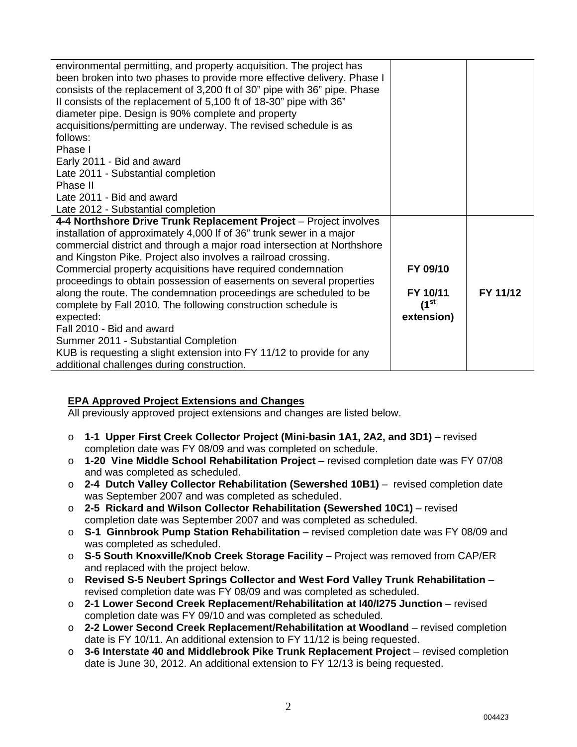| environmental permitting, and property acquisition. The project has<br>been broken into two phases to provide more effective delivery. Phase I<br>consists of the replacement of 3,200 ft of 30" pipe with 36" pipe. Phase<br>Il consists of the replacement of 5,100 ft of 18-30" pipe with 36"<br>diameter pipe. Design is 90% complete and property<br>acquisitions/permitting are underway. The revised schedule is as<br>follows:<br>Phase I<br>Early 2011 - Bid and award<br>Late 2011 - Substantial completion<br>Phase II<br>Late 2011 - Bid and award<br>Late 2012 - Substantial completion                                                |                                                     |          |
|-----------------------------------------------------------------------------------------------------------------------------------------------------------------------------------------------------------------------------------------------------------------------------------------------------------------------------------------------------------------------------------------------------------------------------------------------------------------------------------------------------------------------------------------------------------------------------------------------------------------------------------------------------|-----------------------------------------------------|----------|
| 4-4 Northshore Drive Trunk Replacement Project - Project involves<br>installation of approximately 4,000 If of 36" trunk sewer in a major<br>commercial district and through a major road intersection at Northshore<br>and Kingston Pike. Project also involves a railroad crossing.<br>Commercial property acquisitions have required condemnation<br>proceedings to obtain possession of easements on several properties<br>along the route. The condemnation proceedings are scheduled to be<br>complete by Fall 2010. The following construction schedule is<br>expected:<br>Fall 2010 - Bid and award<br>Summer 2011 - Substantial Completion | FY 09/10<br>FY 10/11<br>$(1^{\rm st}$<br>extension) | FY 11/12 |
| KUB is requesting a slight extension into FY 11/12 to provide for any<br>additional challenges during construction.                                                                                                                                                                                                                                                                                                                                                                                                                                                                                                                                 |                                                     |          |

### **EPA Approved Project Extensions and Changes**

All previously approved project extensions and changes are listed below.

- o **1-1 Upper First Creek Collector Project (Mini-basin 1A1, 2A2, and 3D1)** revised completion date was FY 08/09 and was completed on schedule.
- o **1-20 Vine Middle School Rehabilitation Project** revised completion date was FY 07/08 and was completed as scheduled.
- o **2-4 Dutch Valley Collector Rehabilitation (Sewershed 10B1)** revised completion date was September 2007 and was completed as scheduled.
- o **2-5 Rickard and Wilson Collector Rehabilitation (Sewershed 10C1)** revised completion date was September 2007 and was completed as scheduled.
- o **S-1 Ginnbrook Pump Station Rehabilitation** revised completion date was FY 08/09 and was completed as scheduled.
- o **S-5 South Knoxville/Knob Creek Storage Facility** Project was removed from CAP/ER and replaced with the project below.
- o **Revised S-5 Neubert Springs Collector and West Ford Valley Trunk Rehabilitation** revised completion date was FY 08/09 and was completed as scheduled.
- o **2-1 Lower Second Creek Replacement/Rehabilitation at I40/I275 Junction** revised completion date was FY 09/10 and was completed as scheduled.
- o **2-2 Lower Second Creek Replacement/Rehabilitation at Woodland** revised completion date is FY 10/11. An additional extension to FY 11/12 is being requested.
- o **3-6 Interstate 40 and Middlebrook Pike Trunk Replacement Project** revised completion date is June 30, 2012. An additional extension to FY 12/13 is being requested.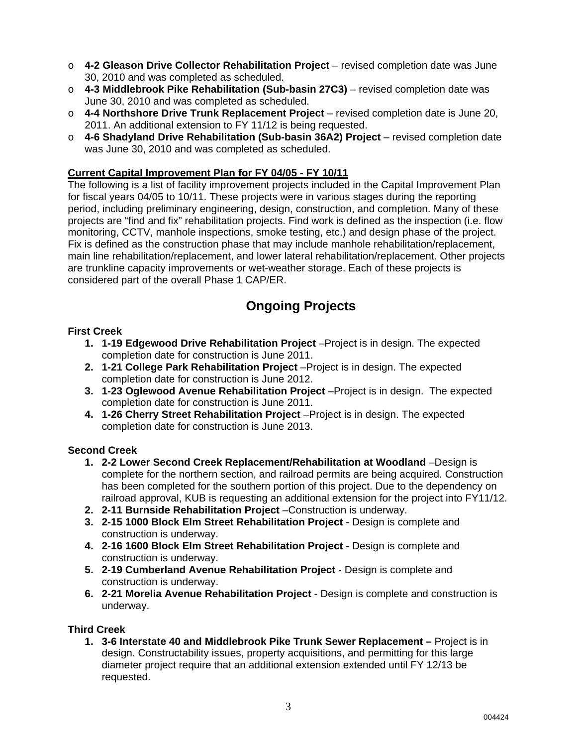- o **4-2 Gleason Drive Collector Rehabilitation Project** revised completion date was June 30, 2010 and was completed as scheduled.
- o **4-3 Middlebrook Pike Rehabilitation (Sub-basin 27C3)** revised completion date was June 30, 2010 and was completed as scheduled.
- o **4-4 Northshore Drive Trunk Replacement Project** revised completion date is June 20, 2011. An additional extension to FY 11/12 is being requested.
- o **4-6 Shadyland Drive Rehabilitation (Sub-basin 36A2) Project** revised completion date was June 30, 2010 and was completed as scheduled.

#### **Current Capital Improvement Plan for FY 04/05 - FY 10/11**

The following is a list of facility improvement projects included in the Capital Improvement Plan for fiscal years 04/05 to 10/11. These projects were in various stages during the reporting period, including preliminary engineering, design, construction, and completion. Many of these projects are "find and fix" rehabilitation projects. Find work is defined as the inspection (i.e. flow monitoring, CCTV, manhole inspections, smoke testing, etc.) and design phase of the project. Fix is defined as the construction phase that may include manhole rehabilitation/replacement, main line rehabilitation/replacement, and lower lateral rehabilitation/replacement. Other projects are trunkline capacity improvements or wet-weather storage. Each of these projects is considered part of the overall Phase 1 CAP/ER.

### **Ongoing Projects**

#### **First Creek**

- **1. 1-19 Edgewood Drive Rehabilitation Project** –Project is in design. The expected completion date for construction is June 2011.
- **2. 1-21 College Park Rehabilitation Project** –Project is in design. The expected completion date for construction is June 2012.
- **3. 1-23 Oglewood Avenue Rehabilitation Project** –Project is in design. The expected completion date for construction is June 2011.
- **4. 1-26 Cherry Street Rehabilitation Project** –Project is in design. The expected completion date for construction is June 2013.

#### **Second Creek**

- **1. 2-2 Lower Second Creek Replacement/Rehabilitation at Woodland** –Design is complete for the northern section, and railroad permits are being acquired. Construction has been completed for the southern portion of this project. Due to the dependency on railroad approval, KUB is requesting an additional extension for the project into FY11/12.
- **2. 2-11 Burnside Rehabilitation Project** –Construction is underway.
- **3. 2-15 1000 Block Elm Street Rehabilitation Project**  Design is complete and construction is underway.
- **4. 2-16 1600 Block Elm Street Rehabilitation Project**  Design is complete and construction is underway.
- **5. 2-19 Cumberland Avenue Rehabilitation Project**  Design is complete and construction is underway.
- **6. 2-21 Morelia Avenue Rehabilitation Project** Design is complete and construction is underway.

#### **Third Creek**

**1. 3-6 Interstate 40 and Middlebrook Pike Trunk Sewer Replacement –** Project is in design. Constructability issues, property acquisitions, and permitting for this large diameter project require that an additional extension extended until FY 12/13 be requested.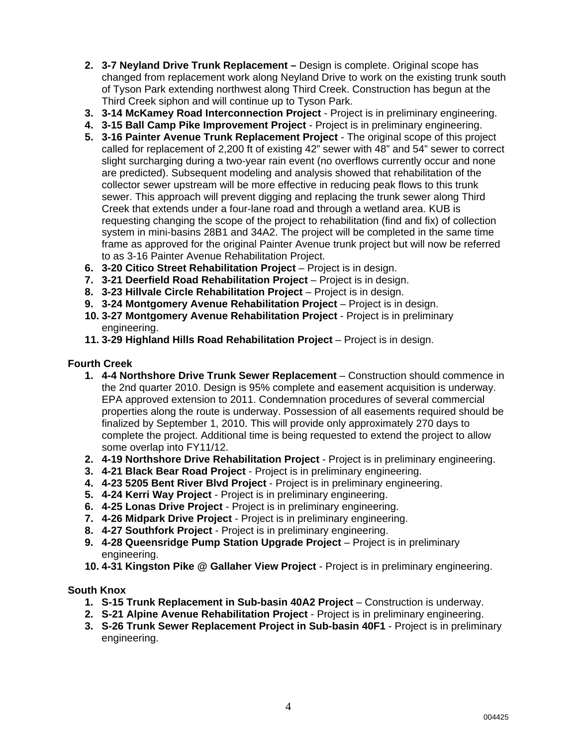- **2. 3-7 Neyland Drive Trunk Replacement** Design is complete. Original scope has changed from replacement work along Neyland Drive to work on the existing trunk south of Tyson Park extending northwest along Third Creek. Construction has begun at the Third Creek siphon and will continue up to Tyson Park.
- **3. 3-14 McKamey Road Interconnection Project** Project is in preliminary engineering.
- **4. 3-15 Ball Camp Pike Improvement Project** Project is in preliminary engineering.
- **5. 3-16 Painter Avenue Trunk Replacement Project** The original scope of this project called for replacement of 2,200 ft of existing 42" sewer with 48" and 54" sewer to correct slight surcharging during a two-year rain event (no overflows currently occur and none are predicted). Subsequent modeling and analysis showed that rehabilitation of the collector sewer upstream will be more effective in reducing peak flows to this trunk sewer. This approach will prevent digging and replacing the trunk sewer along Third Creek that extends under a four-lane road and through a wetland area. KUB is requesting changing the scope of the project to rehabilitation (find and fix) of collection system in mini-basins 28B1 and 34A2. The project will be completed in the same time frame as approved for the original Painter Avenue trunk project but will now be referred to as 3-16 Painter Avenue Rehabilitation Project.
- **6. 3-20 Citico Street Rehabilitation Project** Project is in design.
- **7. 3-21 Deerfield Road Rehabilitation Project** Project is in design.
- **8. 3-23 Hillvale Circle Rehabilitation Project** Project is in design.
- **9. 3-24 Montgomery Avenue Rehabilitation Project** Project is in design.
- **10. 3-27 Montgomery Avenue Rehabilitation Project** Project is in preliminary engineering.
- **11. 3-29 Highland Hills Road Rehabilitation Project** Project is in design.

#### **Fourth Creek**

- **1. 4-4 Northshore Drive Trunk Sewer Replacement** Construction should commence in the 2nd quarter 2010. Design is 95% complete and easement acquisition is underway. EPA approved extension to 2011. Condemnation procedures of several commercial properties along the route is underway. Possession of all easements required should be finalized by September 1, 2010. This will provide only approximately 270 days to complete the project. Additional time is being requested to extend the project to allow some overlap into FY11/12.
- **2. 4-19 Northshore Drive Rehabilitation Project** Project is in preliminary engineering.
- **3. 4-21 Black Bear Road Project** Project is in preliminary engineering.
- **4. 4-23 5205 Bent River Blvd Project** Project is in preliminary engineering.
- **5. 4-24 Kerri Way Project** Project is in preliminary engineering.
- **6. 4-25 Lonas Drive Project** Project is in preliminary engineering.
- **7. 4-26 Midpark Drive Project** Project is in preliminary engineering.
- **8. 4-27 Southfork Project** Project is in preliminary engineering.
- **9. 4-28 Queensridge Pump Station Upgrade Project** Project is in preliminary engineering.
- **10. 4-31 Kingston Pike @ Gallaher View Project** Project is in preliminary engineering.

#### **South Knox**

- **1. S-15 Trunk Replacement in Sub-basin 40A2 Project** Construction is underway.
- **2. S-21 Alpine Avenue Rehabilitation Project** Project is in preliminary engineering.
- **3. S-26 Trunk Sewer Replacement Project in Sub-basin 40F1** Project is in preliminary engineering.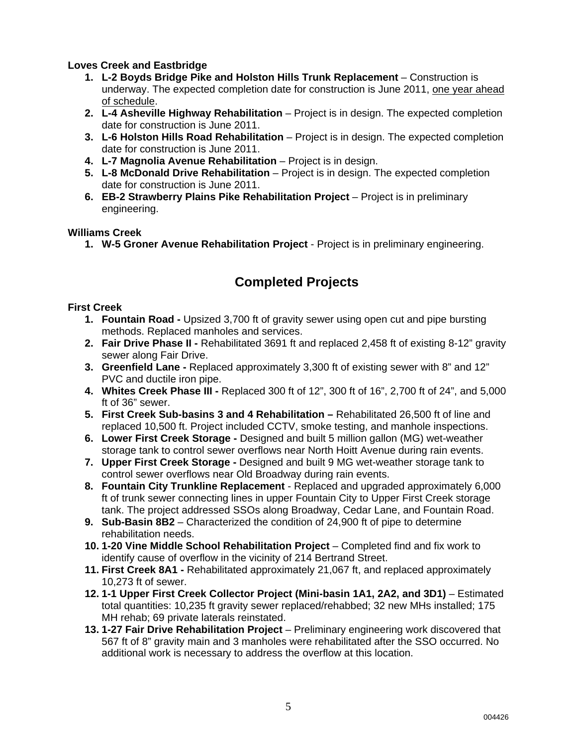#### **Loves Creek and Eastbridge**

- **1. L-2 Boyds Bridge Pike and Holston Hills Trunk Replacement** Construction is underway. The expected completion date for construction is June 2011, one year ahead of schedule.
- **2. L-4 Asheville Highway Rehabilitation** Project is in design. The expected completion date for construction is June 2011.
- **3. L-6 Holston Hills Road Rehabilitation** Project is in design. The expected completion date for construction is June 2011.
- **4. L-7 Magnolia Avenue Rehabilitation** Project is in design.
- **5. L-8 McDonald Drive Rehabilitation** Project is in design. The expected completion date for construction is June 2011.
- **6. EB-2 Strawberry Plains Pike Rehabilitation Project** Project is in preliminary engineering.

#### **Williams Creek**

**1. W-5 Groner Avenue Rehabilitation Project** - Project is in preliminary engineering.

### **Completed Projects**

#### **First Creek**

- **1. Fountain Road** Upsized 3,700 ft of gravity sewer using open cut and pipe bursting methods. Replaced manholes and services.
- **2. Fair Drive Phase II** Rehabilitated 3691 ft and replaced 2,458 ft of existing 8-12" gravity sewer along Fair Drive.
- **3. Greenfield Lane** Replaced approximately 3,300 ft of existing sewer with 8" and 12" PVC and ductile iron pipe.
- **4. Whites Creek Phase III** Replaced 300 ft of 12", 300 ft of 16", 2,700 ft of 24", and 5,000 ft of 36" sewer.
- **5. First Creek Sub-basins 3 and 4 Rehabilitation** Rehabilitated 26,500 ft of line and replaced 10,500 ft. Project included CCTV, smoke testing, and manhole inspections.
- **6. Lower First Creek Storage** Designed and built 5 million gallon (MG) wet-weather storage tank to control sewer overflows near North Hoitt Avenue during rain events.
- **7. Upper First Creek Storage** Designed and built 9 MG wet-weather storage tank to control sewer overflows near Old Broadway during rain events.
- **8. Fountain City Trunkline Replacement**  Replaced and upgraded approximately 6,000 ft of trunk sewer connecting lines in upper Fountain City to Upper First Creek storage tank. The project addressed SSOs along Broadway, Cedar Lane, and Fountain Road.
- **9. Sub-Basin 8B2** Characterized the condition of 24,900 ft of pipe to determine rehabilitation needs.
- **10. 1-20 Vine Middle School Rehabilitation Project** Completed find and fix work to identify cause of overflow in the vicinity of 214 Bertrand Street.
- **11. First Creek 8A1 -** Rehabilitated approximately 21,067 ft, and replaced approximately 10,273 ft of sewer.
- **12. 1-1 Upper First Creek Collector Project (Mini-basin 1A1, 2A2, and 3D1)** Estimated total quantities: 10,235 ft gravity sewer replaced/rehabbed; 32 new MHs installed; 175 MH rehab; 69 private laterals reinstated.
- **13. 1-27 Fair Drive Rehabilitation Project** Preliminary engineering work discovered that 567 ft of 8" gravity main and 3 manholes were rehabilitated after the SSO occurred. No additional work is necessary to address the overflow at this location.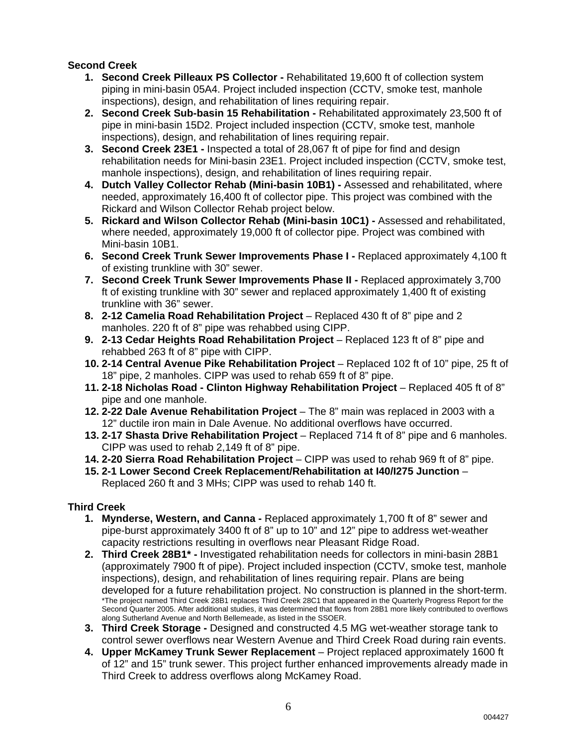### **Second Creek**

- **1. Second Creek Pilleaux PS Collector** Rehabilitated 19,600 ft of collection system piping in mini-basin 05A4. Project included inspection (CCTV, smoke test, manhole inspections), design, and rehabilitation of lines requiring repair.
- **2. Second Creek Sub-basin 15 Rehabilitation** Rehabilitated approximately 23,500 ft of pipe in mini-basin 15D2. Project included inspection (CCTV, smoke test, manhole inspections), design, and rehabilitation of lines requiring repair.
- **3. Second Creek 23E1 -** Inspected a total of 28,067 ft of pipe for find and design rehabilitation needs for Mini-basin 23E1. Project included inspection (CCTV, smoke test, manhole inspections), design, and rehabilitation of lines requiring repair.
- **4. Dutch Valley Collector Rehab (Mini-basin 10B1)** Assessed and rehabilitated, where needed, approximately 16,400 ft of collector pipe. This project was combined with the Rickard and Wilson Collector Rehab project below.
- **5. Rickard and Wilson Collector Rehab (Mini-basin 10C1)** Assessed and rehabilitated, where needed, approximately 19,000 ft of collector pipe. Project was combined with Mini-basin 10B1.
- **6. Second Creek Trunk Sewer Improvements Phase I** Replaced approximately 4,100 ft of existing trunkline with 30" sewer.
- **7. Second Creek Trunk Sewer Improvements Phase II Replaced approximately 3,700** ft of existing trunkline with 30" sewer and replaced approximately 1,400 ft of existing trunkline with 36" sewer.
- **8. 2-12 Camelia Road Rehabilitation Project** Replaced 430 ft of 8" pipe and 2 manholes. 220 ft of 8" pipe was rehabbed using CIPP.
- **9. 2-13 Cedar Heights Road Rehabilitation Project Replaced 123 ft of 8" pipe and** rehabbed 263 ft of 8" pipe with CIPP.
- **10. 2-14 Central Avenue Pike Rehabilitation Project**  Replaced 102 ft of 10" pipe, 25 ft of 18" pipe, 2 manholes. CIPP was used to rehab 659 ft of 8" pipe.
- **11. 2-18 Nicholas Road Clinton Highway Rehabilitation Project**  Replaced 405 ft of 8" pipe and one manhole.
- **12. 2-22 Dale Avenue Rehabilitation Project**  The 8" main was replaced in 2003 with a 12" ductile iron main in Dale Avenue. No additional overflows have occurred.
- **13. 2-17 Shasta Drive Rehabilitation Project**  Replaced 714 ft of 8" pipe and 6 manholes. CIPP was used to rehab 2,149 ft of 8" pipe.
- **14. 2-20 Sierra Road Rehabilitation Project**  CIPP was used to rehab 969 ft of 8" pipe.
- **15. 2-1 Lower Second Creek Replacement/Rehabilitation at I40/I275 Junction** Replaced 260 ft and 3 MHs; CIPP was used to rehab 140 ft.

### **Third Creek**

- **1. Mynderse, Western, and Canna** Replaced approximately 1,700 ft of 8" sewer and pipe-burst approximately 3400 ft of 8" up to 10" and 12" pipe to address wet-weather capacity restrictions resulting in overflows near Pleasant Ridge Road.
- **2. Third Creek 28B1\*** Investigated rehabilitation needs for collectors in mini-basin 28B1 (approximately 7900 ft of pipe). Project included inspection (CCTV, smoke test, manhole inspections), design, and rehabilitation of lines requiring repair. Plans are being developed for a future rehabilitation project. No construction is planned in the short-term. \*The project named Third Creek 28B1 replaces Third Creek 28C1 that appeared in the Quarterly Progress Report for the Second Quarter 2005. After additional studies, it was determined that flows from 28B1 more likely contributed to overflows along Sutherland Avenue and North Bellemeade, as listed in the SSOER.
- **3. Third Creek Storage** Designed and constructed 4.5 MG wet-weather storage tank to control sewer overflows near Western Avenue and Third Creek Road during rain events.
- **4. Upper McKamey Trunk Sewer Replacement**  Project replaced approximately 1600 ft of 12" and 15" trunk sewer. This project further enhanced improvements already made in Third Creek to address overflows along McKamey Road.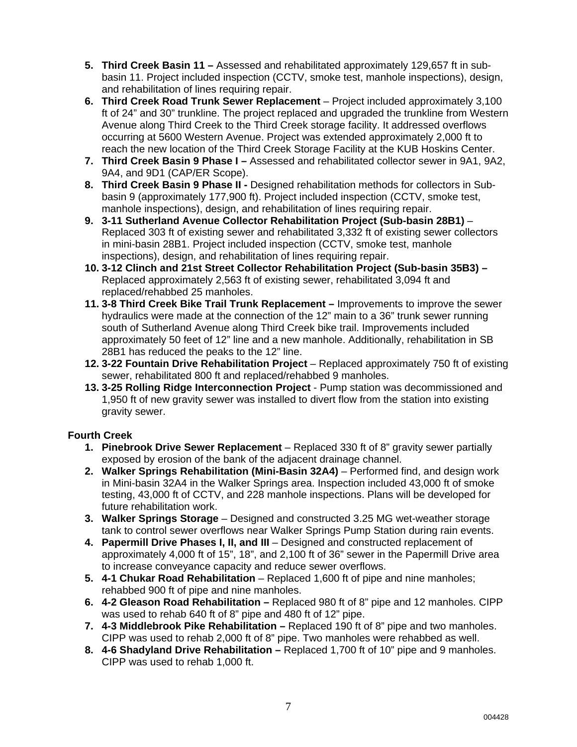- **5. Third Creek Basin 11** Assessed and rehabilitated approximately 129,657 ft in subbasin 11. Project included inspection (CCTV, smoke test, manhole inspections), design, and rehabilitation of lines requiring repair.
- **6. Third Creek Road Trunk Sewer Replacement**  Project included approximately 3,100 ft of 24" and 30" trunkline. The project replaced and upgraded the trunkline from Western Avenue along Third Creek to the Third Creek storage facility. It addressed overflows occurring at 5600 Western Avenue. Project was extended approximately 2,000 ft to reach the new location of the Third Creek Storage Facility at the KUB Hoskins Center.
- **7. Third Creek Basin 9 Phase I** Assessed and rehabilitated collector sewer in 9A1, 9A2, 9A4, and 9D1 (CAP/ER Scope).
- **8. Third Creek Basin 9 Phase II** Designed rehabilitation methods for collectors in Subbasin 9 (approximately 177,900 ft). Project included inspection (CCTV, smoke test, manhole inspections), design, and rehabilitation of lines requiring repair.
- **9. 3-11 Sutherland Avenue Collector Rehabilitation Project (Sub-basin 28B1)** Replaced 303 ft of existing sewer and rehabilitated 3,332 ft of existing sewer collectors in mini-basin 28B1. Project included inspection (CCTV, smoke test, manhole inspections), design, and rehabilitation of lines requiring repair.
- **10. 3-12 Clinch and 21st Street Collector Rehabilitation Project (Sub-basin 35B3)**  Replaced approximately 2,563 ft of existing sewer, rehabilitated 3,094 ft and replaced/rehabbed 25 manholes.
- **11. 3-8 Third Creek Bike Trail Trunk Replacement** Improvements to improve the sewer hydraulics were made at the connection of the 12" main to a 36" trunk sewer running south of Sutherland Avenue along Third Creek bike trail. Improvements included approximately 50 feet of 12" line and a new manhole. Additionally, rehabilitation in SB 28B1 has reduced the peaks to the 12" line.
- **12. 3-22 Fountain Drive Rehabilitation Project** Replaced approximately 750 ft of existing sewer, rehabilitated 800 ft and replaced/rehabbed 9 manholes.
- **13. 3-25 Rolling Ridge Interconnection Project** Pump station was decommissioned and 1,950 ft of new gravity sewer was installed to divert flow from the station into existing gravity sewer.

### **Fourth Creek**

- **1. Pinebrook Drive Sewer Replacement** Replaced 330 ft of 8" gravity sewer partially exposed by erosion of the bank of the adjacent drainage channel.
- **2. Walker Springs Rehabilitation (Mini-Basin 32A4)** Performed find, and design work in Mini-basin 32A4 in the Walker Springs area. Inspection included 43,000 ft of smoke testing, 43,000 ft of CCTV, and 228 manhole inspections. Plans will be developed for future rehabilitation work.
- **3. Walker Springs Storage** Designed and constructed 3.25 MG wet-weather storage tank to control sewer overflows near Walker Springs Pump Station during rain events.
- **4. Papermill Drive Phases I, II, and III** Designed and constructed replacement of approximately 4,000 ft of 15", 18", and 2,100 ft of 36" sewer in the Papermill Drive area to increase conveyance capacity and reduce sewer overflows.
- **5. 4-1 Chukar Road Rehabilitation** Replaced 1,600 ft of pipe and nine manholes; rehabbed 900 ft of pipe and nine manholes.
- **6. 4-2 Gleason Road Rehabilitation** Replaced 980 ft of 8" pipe and 12 manholes. CIPP was used to rehab 640 ft of 8" pipe and 480 ft of 12" pipe.
- **7. 4-3 Middlebrook Pike Rehabilitation** Replaced 190 ft of 8" pipe and two manholes. CIPP was used to rehab 2,000 ft of 8" pipe. Two manholes were rehabbed as well.
- **8. 4-6 Shadyland Drive Rehabilitation** Replaced 1,700 ft of 10" pipe and 9 manholes. CIPP was used to rehab 1,000 ft.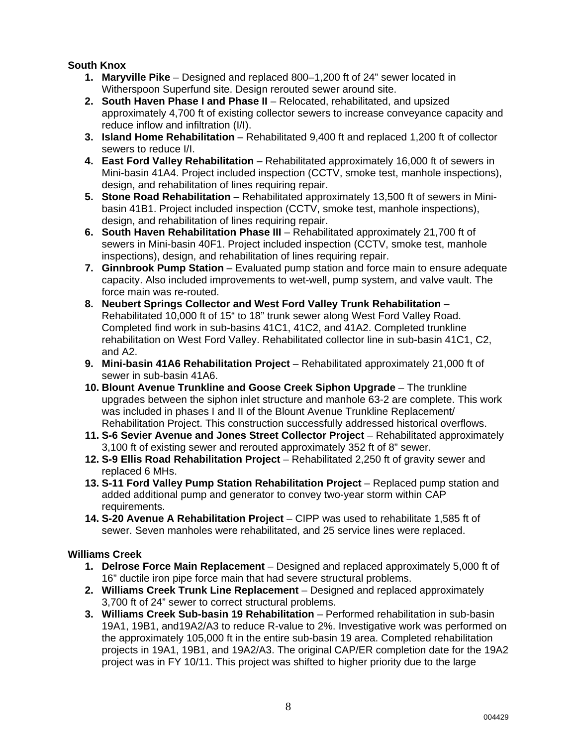### **South Knox**

- **1. Maryville Pike** Designed and replaced 800–1,200 ft of 24" sewer located in Witherspoon Superfund site. Design rerouted sewer around site.
- **2. South Haven Phase I and Phase II** Relocated, rehabilitated, and upsized approximately 4,700 ft of existing collector sewers to increase conveyance capacity and reduce inflow and infiltration (I/I).
- **3. Island Home Rehabilitation** Rehabilitated 9,400 ft and replaced 1,200 ft of collector sewers to reduce I/I.
- **4. East Ford Valley Rehabilitation** Rehabilitated approximately 16,000 ft of sewers in Mini-basin 41A4. Project included inspection (CCTV, smoke test, manhole inspections), design, and rehabilitation of lines requiring repair.
- **5. Stone Road Rehabilitation** Rehabilitated approximately 13,500 ft of sewers in Minibasin 41B1. Project included inspection (CCTV, smoke test, manhole inspections), design, and rehabilitation of lines requiring repair.
- **6. South Haven Rehabilitation Phase III** Rehabilitated approximately 21,700 ft of sewers in Mini-basin 40F1. Project included inspection (CCTV, smoke test, manhole inspections), design, and rehabilitation of lines requiring repair.
- **7. Ginnbrook Pump Station**  Evaluated pump station and force main to ensure adequate capacity. Also included improvements to wet-well, pump system, and valve vault. The force main was re-routed.
- **8. Neubert Springs Collector and West Ford Valley Trunk Rehabilitation** Rehabilitated 10,000 ft of 15" to 18" trunk sewer along West Ford Valley Road. Completed find work in sub-basins 41C1, 41C2, and 41A2. Completed trunkline rehabilitation on West Ford Valley. Rehabilitated collector line in sub-basin 41C1, C2, and A2.
- **9. Mini-basin 41A6 Rehabilitation Project** Rehabilitated approximately 21,000 ft of sewer in sub-basin 41A6.
- **10. Blount Avenue Trunkline and Goose Creek Siphon Upgrade** The trunkline upgrades between the siphon inlet structure and manhole 63-2 are complete. This work was included in phases I and II of the Blount Avenue Trunkline Replacement/ Rehabilitation Project. This construction successfully addressed historical overflows.
- **11. S-6 Sevier Avenue and Jones Street Collector Project**  Rehabilitated approximately 3,100 ft of existing sewer and rerouted approximately 352 ft of 8" sewer.
- **12. S-9 Ellis Road Rehabilitation Project** Rehabilitated 2,250 ft of gravity sewer and replaced 6 MHs.
- **13. S-11 Ford Valley Pump Station Rehabilitation Project** Replaced pump station and added additional pump and generator to convey two-year storm within CAP requirements.
- **14. S-20 Avenue A Rehabilitation Project** CIPP was used to rehabilitate 1,585 ft of sewer. Seven manholes were rehabilitated, and 25 service lines were replaced.

### **Williams Creek**

- **1. Delrose Force Main Replacement** Designed and replaced approximately 5,000 ft of 16" ductile iron pipe force main that had severe structural problems.
- **2. Williams Creek Trunk Line Replacement** Designed and replaced approximately 3,700 ft of 24" sewer to correct structural problems.
- **3. Williams Creek Sub-basin 19 Rehabilitation** Performed rehabilitation in sub-basin 19A1, 19B1, and19A2/A3 to reduce R-value to 2%. Investigative work was performed on the approximately 105,000 ft in the entire sub-basin 19 area. Completed rehabilitation projects in 19A1, 19B1, and 19A2/A3. The original CAP/ER completion date for the 19A2 project was in FY 10/11. This project was shifted to higher priority due to the large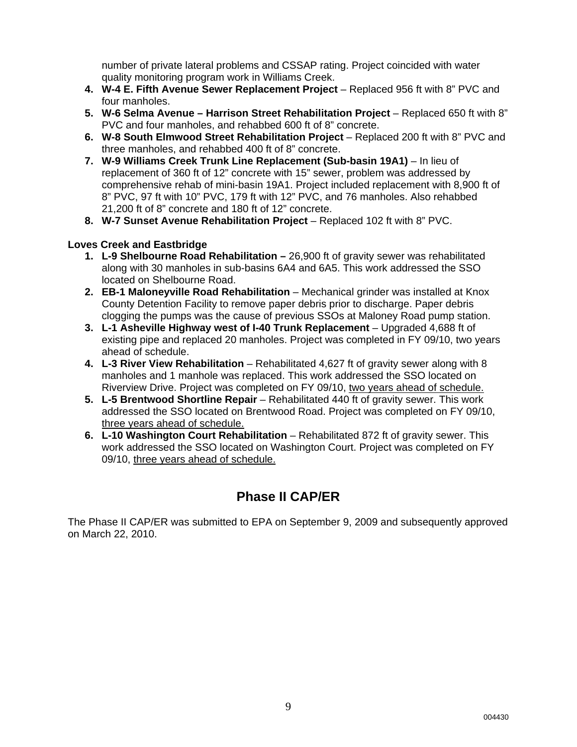number of private lateral problems and CSSAP rating. Project coincided with water quality monitoring program work in Williams Creek.

- **4. W-4 E. Fifth Avenue Sewer Replacement Project** Replaced 956 ft with 8" PVC and four manholes.
- **5. W-6 Selma Avenue Harrison Street Rehabilitation Project** Replaced 650 ft with 8" PVC and four manholes, and rehabbed 600 ft of 8" concrete.
- **6. W-8 South Elmwood Street Rehabilitation Project** Replaced 200 ft with 8" PVC and three manholes, and rehabbed 400 ft of 8" concrete.
- **7. W-9 Williams Creek Trunk Line Replacement (Sub-basin 19A1)** In lieu of replacement of 360 ft of 12" concrete with 15" sewer, problem was addressed by comprehensive rehab of mini-basin 19A1. Project included replacement with 8,900 ft of 8" PVC, 97 ft with 10" PVC, 179 ft with 12" PVC, and 76 manholes. Also rehabbed 21,200 ft of 8" concrete and 180 ft of 12" concrete.
- **8. W-7 Sunset Avenue Rehabilitation Project** Replaced 102 ft with 8" PVC.

#### **Loves Creek and Eastbridge**

- **1. L-9 Shelbourne Road Rehabilitation** 26,900 ft of gravity sewer was rehabilitated along with 30 manholes in sub-basins 6A4 and 6A5. This work addressed the SSO located on Shelbourne Road.
- **2. EB-1 Maloneyville Road Rehabilitation** Mechanical grinder was installed at Knox County Detention Facility to remove paper debris prior to discharge. Paper debris clogging the pumps was the cause of previous SSOs at Maloney Road pump station.
- **3. L-1 Asheville Highway west of I-40 Trunk Replacement**  Upgraded 4,688 ft of existing pipe and replaced 20 manholes. Project was completed in FY 09/10, two years ahead of schedule.
- **4. L-3 River View Rehabilitation**  Rehabilitated 4,627 ft of gravity sewer along with 8 manholes and 1 manhole was replaced. This work addressed the SSO located on Riverview Drive. Project was completed on FY 09/10, two years ahead of schedule.
- **5. L-5 Brentwood Shortline Repair** Rehabilitated 440 ft of gravity sewer. This work addressed the SSO located on Brentwood Road. Project was completed on FY 09/10, three vears ahead of schedule.
- **6. L-10 Washington Court Rehabilitation**  Rehabilitated 872 ft of gravity sewer. This work addressed the SSO located on Washington Court. Project was completed on FY 09/10, three years ahead of schedule.

### **Phase II CAP/ER**

The Phase II CAP/ER was submitted to EPA on September 9, 2009 and subsequently approved on March 22, 2010.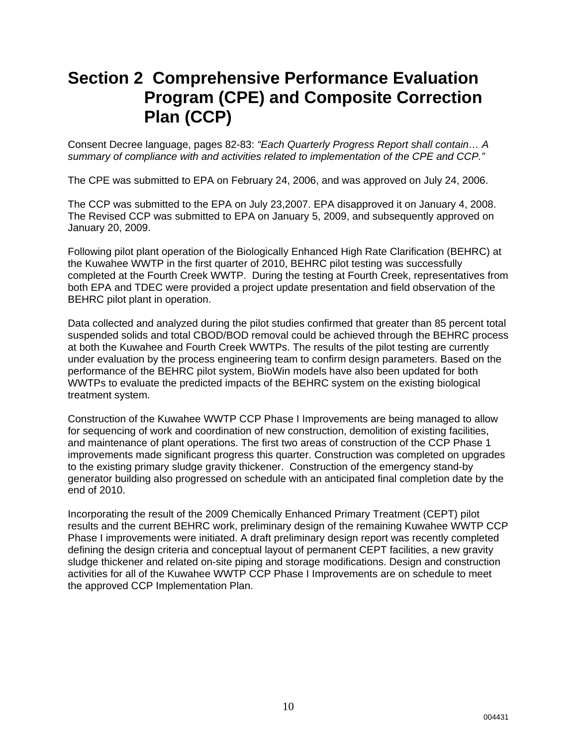## **Section 2 Comprehensive Performance Evaluation Program (CPE) and Composite Correction Plan (CCP)**

Consent Decree language, pages 82-83: *"Each Quarterly Progress Report shall contain… A summary of compliance with and activities related to implementation of the CPE and CCP."*

The CPE was submitted to EPA on February 24, 2006, and was approved on July 24, 2006.

The CCP was submitted to the EPA on July 23,2007. EPA disapproved it on January 4, 2008. The Revised CCP was submitted to EPA on January 5, 2009, and subsequently approved on January 20, 2009.

Following pilot plant operation of the Biologically Enhanced High Rate Clarification (BEHRC) at the Kuwahee WWTP in the first quarter of 2010, BEHRC pilot testing was successfully completed at the Fourth Creek WWTP. During the testing at Fourth Creek, representatives from both EPA and TDEC were provided a project update presentation and field observation of the BEHRC pilot plant in operation.

Data collected and analyzed during the pilot studies confirmed that greater than 85 percent total suspended solids and total CBOD/BOD removal could be achieved through the BEHRC process at both the Kuwahee and Fourth Creek WWTPs. The results of the pilot testing are currently under evaluation by the process engineering team to confirm design parameters. Based on the performance of the BEHRC pilot system, BioWin models have also been updated for both WWTPs to evaluate the predicted impacts of the BEHRC system on the existing biological treatment system.

Construction of the Kuwahee WWTP CCP Phase I Improvements are being managed to allow for sequencing of work and coordination of new construction, demolition of existing facilities, and maintenance of plant operations. The first two areas of construction of the CCP Phase 1 improvements made significant progress this quarter. Construction was completed on upgrades to the existing primary sludge gravity thickener. Construction of the emergency stand-by generator building also progressed on schedule with an anticipated final completion date by the end of 2010.

Incorporating the result of the 2009 Chemically Enhanced Primary Treatment (CEPT) pilot results and the current BEHRC work, preliminary design of the remaining Kuwahee WWTP CCP Phase I improvements were initiated. A draft preliminary design report was recently completed defining the design criteria and conceptual layout of permanent CEPT facilities, a new gravity sludge thickener and related on-site piping and storage modifications. Design and construction activities for all of the Kuwahee WWTP CCP Phase I Improvements are on schedule to meet the approved CCP Implementation Plan.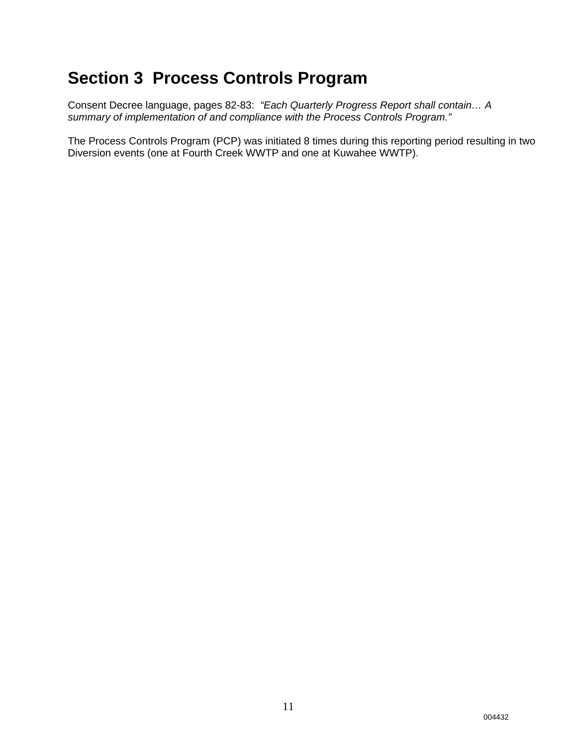## **Section 3 Process Controls Program**

Consent Decree language, pages 82-83: *"Each Quarterly Progress Report shall contain… A summary of implementation of and compliance with the Process Controls Program."*

The Process Controls Program (PCP) was initiated 8 times during this reporting period resulting in two Diversion events (one at Fourth Creek WWTP and one at Kuwahee WWTP).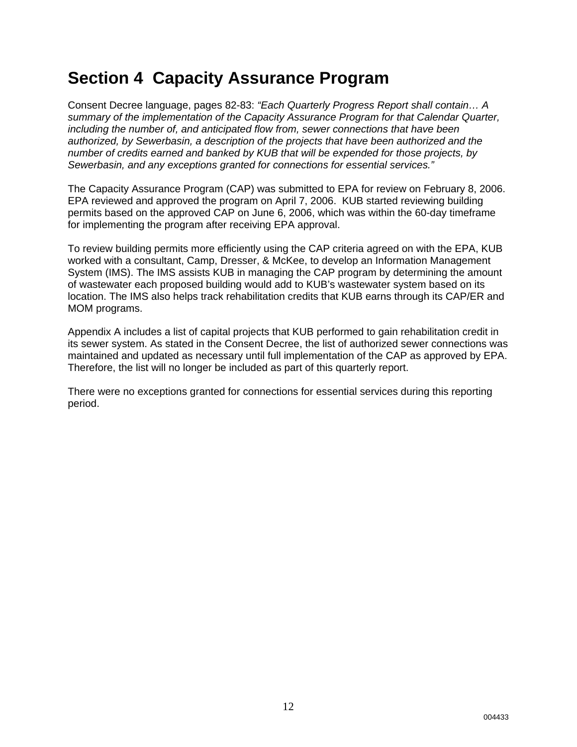# **Section 4 Capacity Assurance Program**

Consent Decree language, pages 82-83: *"Each Quarterly Progress Report shall contain… A summary of the implementation of the Capacity Assurance Program for that Calendar Quarter, including the number of, and anticipated flow from, sewer connections that have been authorized, by Sewerbasin, a description of the projects that have been authorized and the number of credits earned and banked by KUB that will be expended for those projects, by Sewerbasin, and any exceptions granted for connections for essential services."*

The Capacity Assurance Program (CAP) was submitted to EPA for review on February 8, 2006. EPA reviewed and approved the program on April 7, 2006. KUB started reviewing building permits based on the approved CAP on June 6, 2006, which was within the 60-day timeframe for implementing the program after receiving EPA approval.

To review building permits more efficiently using the CAP criteria agreed on with the EPA, KUB worked with a consultant, Camp, Dresser, & McKee, to develop an Information Management System (IMS). The IMS assists KUB in managing the CAP program by determining the amount of wastewater each proposed building would add to KUB's wastewater system based on its location. The IMS also helps track rehabilitation credits that KUB earns through its CAP/ER and MOM programs.

Appendix A includes a list of capital projects that KUB performed to gain rehabilitation credit in its sewer system. As stated in the Consent Decree, the list of authorized sewer connections was maintained and updated as necessary until full implementation of the CAP as approved by EPA. Therefore, the list will no longer be included as part of this quarterly report.

There were no exceptions granted for connections for essential services during this reporting period.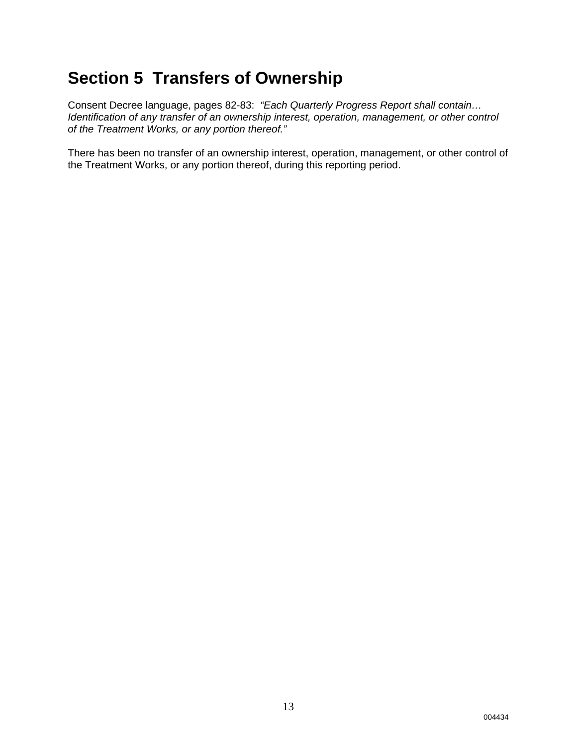# **Section 5 Transfers of Ownership**

Consent Decree language, pages 82-83: *"Each Quarterly Progress Report shall contain… Identification of any transfer of an ownership interest, operation, management, or other control of the Treatment Works, or any portion thereof."* 

There has been no transfer of an ownership interest, operation, management, or other control of the Treatment Works, or any portion thereof, during this reporting period.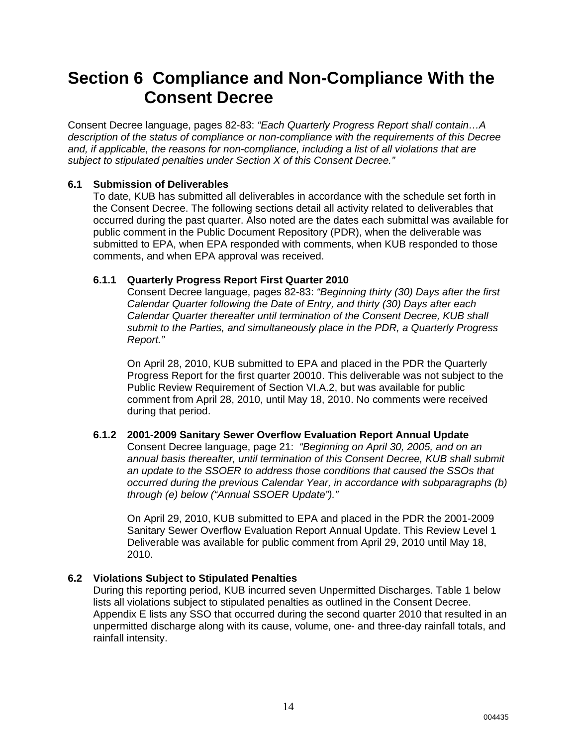### **Section 6 Compliance and Non-Compliance With the Consent Decree**

Consent Decree language, pages 82-83: *"Each Quarterly Progress Report shall contain…A description of the status of compliance or non-compliance with the requirements of this Decree and, if applicable, the reasons for non-compliance, including a list of all violations that are subject to stipulated penalties under Section X of this Consent Decree."*

#### **6.1 Submission of Deliverables**

To date, KUB has submitted all deliverables in accordance with the schedule set forth in the Consent Decree. The following sections detail all activity related to deliverables that occurred during the past quarter. Also noted are the dates each submittal was available for public comment in the Public Document Repository (PDR), when the deliverable was submitted to EPA, when EPA responded with comments, when KUB responded to those comments, and when EPA approval was received.

#### **6.1.1 Quarterly Progress Report First Quarter 2010**

Consent Decree language, pages 82-83: *"Beginning thirty (30) Days after the first Calendar Quarter following the Date of Entry, and thirty (30) Days after each Calendar Quarter thereafter until termination of the Consent Decree, KUB shall submit to the Parties, and simultaneously place in the PDR, a Quarterly Progress Report."*

On April 28, 2010, KUB submitted to EPA and placed in the PDR the Quarterly Progress Report for the first quarter 20010. This deliverable was not subject to the Public Review Requirement of Section VI.A.2, but was available for public comment from April 28, 2010, until May 18, 2010. No comments were received during that period.

#### **6.1.2 2001-2009 Sanitary Sewer Overflow Evaluation Report Annual Update**

Consent Decree language, page 21: *"Beginning on April 30, 2005, and on an annual basis thereafter, until termination of this Consent Decree, KUB shall submit an update to the SSOER to address those conditions that caused the SSOs that occurred during the previous Calendar Year, in accordance with subparagraphs (b) through (e) below ("Annual SSOER Update")."*

On April 29, 2010, KUB submitted to EPA and placed in the PDR the 2001-2009 Sanitary Sewer Overflow Evaluation Report Annual Update. This Review Level 1 Deliverable was available for public comment from April 29, 2010 until May 18, 2010.

### **6.2 Violations Subject to Stipulated Penalties**

During this reporting period, KUB incurred seven Unpermitted Discharges. Table 1 below lists all violations subject to stipulated penalties as outlined in the Consent Decree. Appendix E lists any SSO that occurred during the second quarter 2010 that resulted in an unpermitted discharge along with its cause, volume, one- and three-day rainfall totals, and rainfall intensity.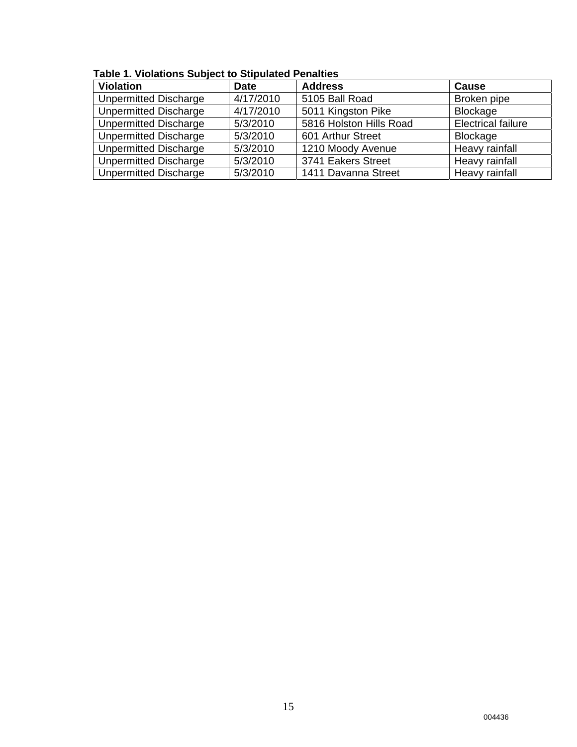| <b>Violation</b>             | <b>Date</b> | <b>Address</b>          | <b>Cause</b>              |  |  |  |  |  |  |  |  |
|------------------------------|-------------|-------------------------|---------------------------|--|--|--|--|--|--|--|--|
| <b>Unpermitted Discharge</b> | 4/17/2010   | 5105 Ball Road          | Broken pipe               |  |  |  |  |  |  |  |  |
| <b>Unpermitted Discharge</b> | 4/17/2010   | 5011 Kingston Pike      | Blockage                  |  |  |  |  |  |  |  |  |
| <b>Unpermitted Discharge</b> | 5/3/2010    | 5816 Holston Hills Road | <b>Electrical failure</b> |  |  |  |  |  |  |  |  |
| <b>Unpermitted Discharge</b> | 5/3/2010    | 601 Arthur Street       | Blockage                  |  |  |  |  |  |  |  |  |
| <b>Unpermitted Discharge</b> | 5/3/2010    | 1210 Moody Avenue       | Heavy rainfall            |  |  |  |  |  |  |  |  |
| <b>Unpermitted Discharge</b> | 5/3/2010    | 3741 Eakers Street      | Heavy rainfall            |  |  |  |  |  |  |  |  |
| <b>Unpermitted Discharge</b> | 5/3/2010    | 1411 Davanna Street     | Heavy rainfall            |  |  |  |  |  |  |  |  |

**Table 1. Violations Subject to Stipulated Penalties**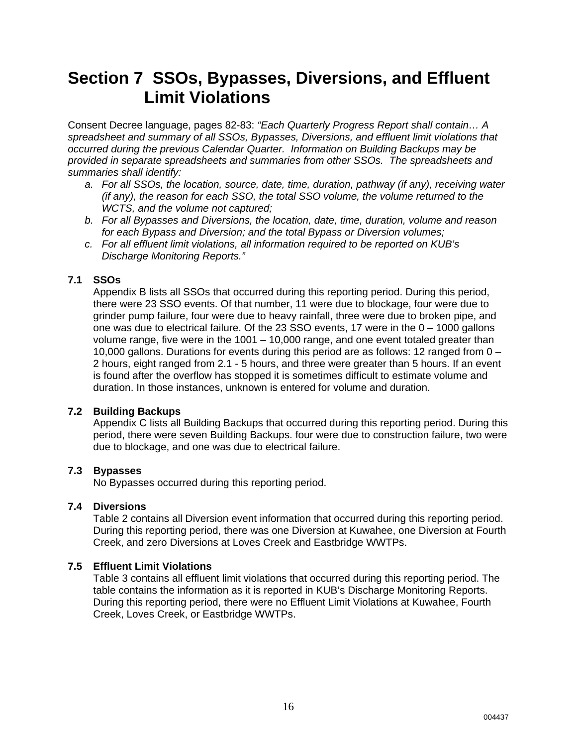### **Section 7 SSOs, Bypasses, Diversions, and Effluent Limit Violations**

Consent Decree language, pages 82-83: *"Each Quarterly Progress Report shall contain… A spreadsheet and summary of all SSOs, Bypasses, Diversions, and effluent limit violations that occurred during the previous Calendar Quarter. Information on Building Backups may be provided in separate spreadsheets and summaries from other SSOs. The spreadsheets and summaries shall identify:* 

- *a. For all SSOs, the location, source, date, time, duration, pathway (if any), receiving water (if any), the reason for each SSO, the total SSO volume, the volume returned to the WCTS, and the volume not captured;*
- *b. For all Bypasses and Diversions, the location, date, time, duration, volume and reason for each Bypass and Diversion; and the total Bypass or Diversion volumes;*
- *c. For all effluent limit violations, all information required to be reported on KUB's Discharge Monitoring Reports."*

#### **7.1 SSOs**

Appendix B lists all SSOs that occurred during this reporting period. During this period, there were 23 SSO events. Of that number, 11 were due to blockage, four were due to grinder pump failure, four were due to heavy rainfall, three were due to broken pipe, and one was due to electrical failure. Of the 23 SSO events, 17 were in the 0 – 1000 gallons volume range, five were in the 1001 – 10,000 range, and one event totaled greater than 10,000 gallons. Durations for events during this period are as follows: 12 ranged from 0 – 2 hours, eight ranged from 2.1 - 5 hours, and three were greater than 5 hours. If an event is found after the overflow has stopped it is sometimes difficult to estimate volume and duration. In those instances, unknown is entered for volume and duration.

#### **7.2 Building Backups**

Appendix C lists all Building Backups that occurred during this reporting period. During this period, there were seven Building Backups. four were due to construction failure, two were due to blockage, and one was due to electrical failure.

#### **7.3 Bypasses**

No Bypasses occurred during this reporting period.

#### **7.4 Diversions**

Table 2 contains all Diversion event information that occurred during this reporting period. During this reporting period, there was one Diversion at Kuwahee, one Diversion at Fourth Creek, and zero Diversions at Loves Creek and Eastbridge WWTPs.

#### **7.5 Effluent Limit Violations**

Table 3 contains all effluent limit violations that occurred during this reporting period. The table contains the information as it is reported in KUB's Discharge Monitoring Reports. During this reporting period, there were no Effluent Limit Violations at Kuwahee, Fourth Creek, Loves Creek, or Eastbridge WWTPs.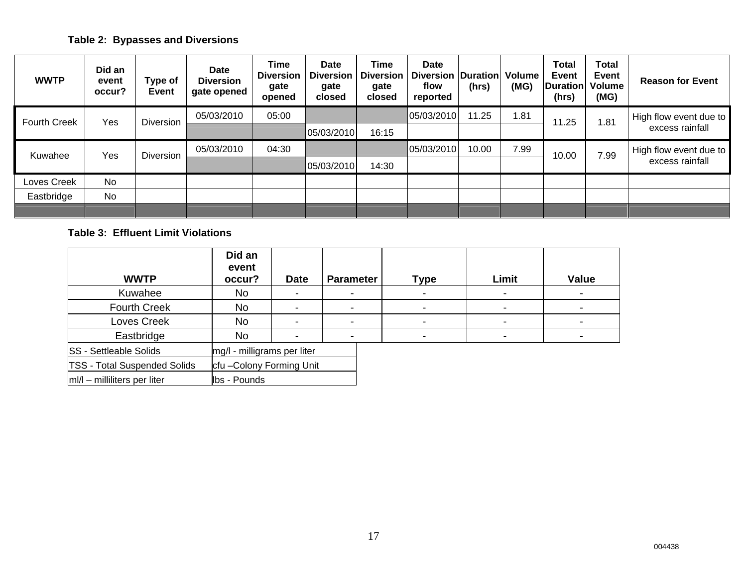### **Table 2: Bypasses and Diversions**

| <b>WWTP</b>         | Did an<br>event<br>occur? | Type of<br><b>Event</b> | <b>Date</b><br><b>Diversion</b><br>gate opened | <b>Time</b><br><b>Diversion</b><br>gate<br>opened | <b>Date</b><br><b>Diversion</b><br>gate<br>closed | Time<br><b>Diversion</b><br>gate<br>closed | <b>Date</b><br><b>Diversion</b><br>flow<br>reported | <b>Duration</b><br>(hrs) | <b>Volume</b><br>(MG) | <b>Total</b><br><b>Event</b><br>Duration<br>(hrs) | <b>Total</b><br>Event<br><b>Volume</b><br>(MG) | <b>Reason for Event</b> |
|---------------------|---------------------------|-------------------------|------------------------------------------------|---------------------------------------------------|---------------------------------------------------|--------------------------------------------|-----------------------------------------------------|--------------------------|-----------------------|---------------------------------------------------|------------------------------------------------|-------------------------|
| <b>Fourth Creek</b> | Yes                       | <b>Diversion</b>        | 05/03/2010                                     | 05:00                                             |                                                   |                                            | 05/03/2010                                          | 11.25                    | 1.81                  | 1.25                                              | 1.81                                           | High flow event due to  |
|                     |                           |                         |                                                |                                                   | 05/03/2010                                        | 16:15                                      |                                                     |                          |                       |                                                   |                                                | excess rainfall         |
| Kuwahee             | Yes                       | <b>Diversion</b>        | 05/03/2010                                     | 04:30                                             |                                                   |                                            | 05/03/2010                                          | 10.00                    | 7.99                  | 10.00                                             | 7.99                                           | High flow event due to  |
|                     |                           |                         |                                                |                                                   | 05/03/2010                                        | 14:30                                      |                                                     |                          |                       |                                                   |                                                | excess rainfall         |
| Loves Creek         | <b>No</b>                 |                         |                                                |                                                   |                                                   |                                            |                                                     |                          |                       |                                                   |                                                |                         |
| Eastbridge          | No                        |                         |                                                |                                                   |                                                   |                                            |                                                     |                          |                       |                                                   |                                                |                         |
|                     |                           |                         |                                                |                                                   |                                                   |                                            |                                                     |                          |                       |                                                   |                                                |                         |

#### **Table 3: Effluent Limit Violations**

| <b>WWTP</b>                         | Did an<br>event<br>occur?   | <b>Date</b> | <b>Parameter</b>         | <b>Type</b>    | Limit          | <b>Value</b> |
|-------------------------------------|-----------------------------|-------------|--------------------------|----------------|----------------|--------------|
| Kuwahee                             | No                          | -           | $\overline{\phantom{0}}$ | $\blacksquare$ | $\blacksquare$ |              |
| <b>Fourth Creek</b>                 | <b>No</b>                   |             |                          |                |                |              |
| Loves Creek                         | <b>No</b>                   |             |                          |                |                |              |
| Eastbridge                          | No                          |             |                          |                |                |              |
| <b>SS</b> - Settleable Solids       | mg/l - milligrams per liter |             |                          |                |                |              |
| <b>TSS - Total Suspended Solids</b> | cfu-Colony Forming Unit     |             |                          |                |                |              |
| $ m /l$ – milliliters per liter     | lbs - Pounds                |             |                          |                |                |              |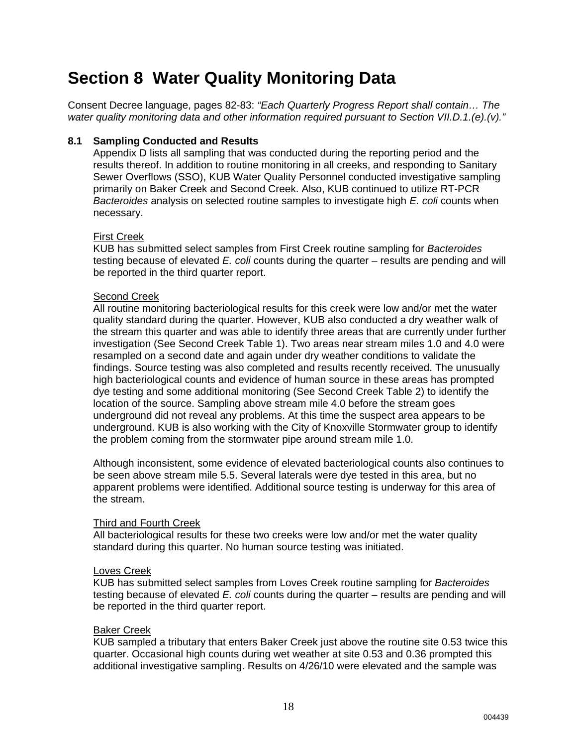# **Section 8 Water Quality Monitoring Data**

Consent Decree language, pages 82-83: *"Each Quarterly Progress Report shall contain… The water quality monitoring data and other information required pursuant to Section VII.D.1.(e).(v)."*

#### **8.1 Sampling Conducted and Results**

Appendix D lists all sampling that was conducted during the reporting period and the results thereof. In addition to routine monitoring in all creeks, and responding to Sanitary Sewer Overflows (SSO), KUB Water Quality Personnel conducted investigative sampling primarily on Baker Creek and Second Creek. Also, KUB continued to utilize RT-PCR *Bacteroides* analysis on selected routine samples to investigate high *E. coli* counts when necessary.

#### First Creek

KUB has submitted select samples from First Creek routine sampling for *Bacteroides* testing because of elevated *E. coli* counts during the quarter – results are pending and will be reported in the third quarter report.

#### Second Creek

All routine monitoring bacteriological results for this creek were low and/or met the water quality standard during the quarter. However, KUB also conducted a dry weather walk of the stream this quarter and was able to identify three areas that are currently under further investigation (See Second Creek Table 1). Two areas near stream miles 1.0 and 4.0 were resampled on a second date and again under dry weather conditions to validate the findings. Source testing was also completed and results recently received. The unusually high bacteriological counts and evidence of human source in these areas has prompted dye testing and some additional monitoring (See Second Creek Table 2) to identify the location of the source. Sampling above stream mile 4.0 before the stream goes underground did not reveal any problems. At this time the suspect area appears to be underground. KUB is also working with the City of Knoxville Stormwater group to identify the problem coming from the stormwater pipe around stream mile 1.0.

Although inconsistent, some evidence of elevated bacteriological counts also continues to be seen above stream mile 5.5. Several laterals were dye tested in this area, but no apparent problems were identified. Additional source testing is underway for this area of the stream.

#### Third and Fourth Creek

All bacteriological results for these two creeks were low and/or met the water quality standard during this quarter. No human source testing was initiated.

#### Loves Creek

KUB has submitted select samples from Loves Creek routine sampling for *Bacteroides* testing because of elevated *E. coli* counts during the quarter – results are pending and will be reported in the third quarter report.

#### Baker Creek

KUB sampled a tributary that enters Baker Creek just above the routine site 0.53 twice this quarter. Occasional high counts during wet weather at site 0.53 and 0.36 prompted this additional investigative sampling. Results on 4/26/10 were elevated and the sample was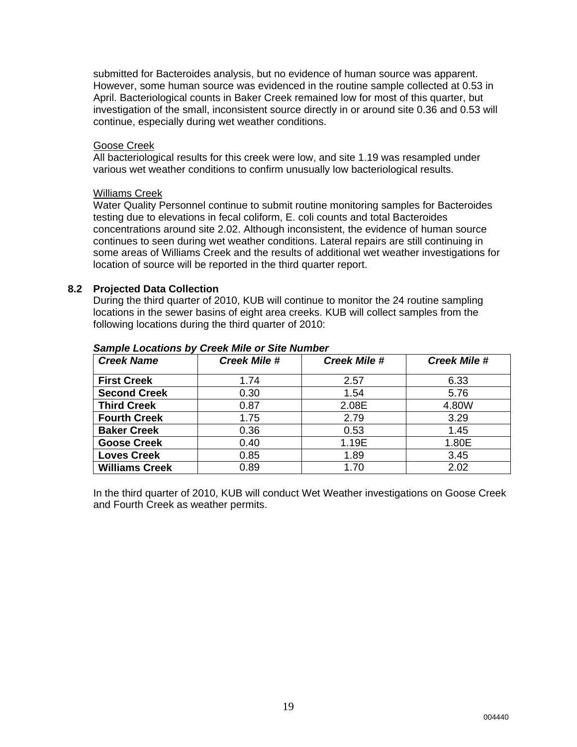submitted for Bacteroides analysis, but no evidence of human source was apparent. However, some human source was evidenced in the routine sample collected at 0.53 in April. Bacteriological counts in Baker Creek remained low for most of this quarter, but investigation of the small, inconsistent source directly in or around site 0.36 and 0.53 will continue, especially during wet weather conditions.

#### Goose Creek

All bacteriological results for this creek were low, and site 1.19 was resampled under various wet weather conditions to confirm unusually low bacteriological results.

#### Williams Creek

Water Quality Personnel continue to submit routine monitoring samples for Bacteroides testing due to elevations in fecal coliform, E. coli counts and total Bacteroides concentrations around site 2.02. Although inconsistent, the evidence of human source continues to seen during wet weather conditions. Lateral repairs are still continuing in some areas of Williams Creek and the results of additional wet weather investigations for location of source will be reported in the third quarter report.

#### **8.2 Projected Data Collection**

During the third quarter of 2010, KUB will continue to monitor the 24 routine sampling locations in the sewer basins of eight area creeks. KUB will collect samples from the following locations during the third quarter of 2010:

| <b>Creek Name</b>     | <b>Creek Mile #</b> | <b>Creek Mile #</b> | <b>Creek Mile #</b> |
|-----------------------|---------------------|---------------------|---------------------|
|                       |                     |                     |                     |
| <b>First Creek</b>    | 1.74                | 2.57                | 6.33                |
| <b>Second Creek</b>   | 0.30                | 1.54                | 5.76                |
| <b>Third Creek</b>    | 0.87                | 2.08E               | 4.80W               |
| <b>Fourth Creek</b>   | 1.75                | 2.79                | 3.29                |
| <b>Baker Creek</b>    | 0.36                | 0.53                | 1.45                |
| <b>Goose Creek</b>    | 0.40                | 1.19E               | 1.80E               |
| <b>Loves Creek</b>    | 0.85                | 1.89                | 3.45                |
| <b>Williams Creek</b> | 0.89                | 1.70                | 2.02                |

#### *Sample Locations by Creek Mile or Site Number*

In the third quarter of 2010, KUB will conduct Wet Weather investigations on Goose Creek and Fourth Creek as weather permits.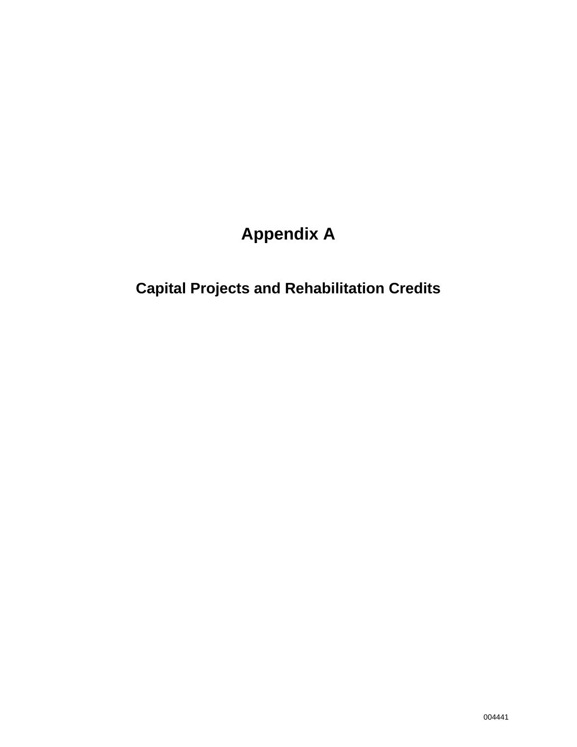# **Appendix A**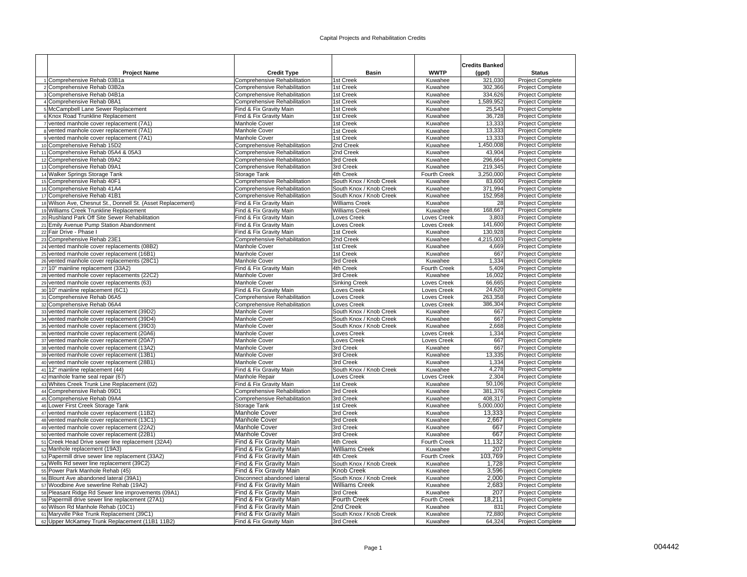|                                                                                   |                                                    |                         |                                | <b>Credits Banked</b> |                                             |
|-----------------------------------------------------------------------------------|----------------------------------------------------|-------------------------|--------------------------------|-----------------------|---------------------------------------------|
| <b>Project Name</b>                                                               | <b>Credit Type</b>                                 | <b>Basin</b>            | <b>WWTP</b>                    | (gpd)                 | <b>Status</b>                               |
| 1 Comprehensive Rehab 03B1a                                                       | Comprehensive Rehabilitation                       | 1st Creek               | Kuwahee                        | 321,030               | Project Complete                            |
| 2 Comprehensive Rehab 03B2a                                                       | Comprehensive Rehabilitation                       | 1st Creek               | Kuwahee                        | 302,366               | Project Complete                            |
| 3 Comprehensive Rehab 04B1a                                                       | Comprehensive Rehabilitation                       | 1st Creek               | Kuwahee                        | 334,626               | Project Complete                            |
| 4 Comprehensive Rehab 08A1                                                        | Comprehensive Rehabilitation                       | 1st Creek               | Kuwahee                        | 1,589,952             | Project Complete                            |
| 5 McCampbell Lane Sewer Replacement<br>6 Knox Road Trunkline Replacement          | Find & Fix Gravity Main<br>Find & Fix Gravity Main | 1st Creek<br>1st Creek  | Kuwahee<br>Kuwahee             | 25,543<br>36,728      | <b>Project Complete</b><br>Project Complete |
| 7 vented manhole cover replacement (7A1)                                          | Manhole Cover                                      | 1st Creek               | Kuwahee                        | 13,333                | <b>Project Complete</b>                     |
| 8 vented manhole cover replacement (7A1)                                          | Manhole Cover                                      | 1st Creek               | Kuwahee                        | 13,333                | Project Complete                            |
| 9 vented manhole cover replacement (7A1)                                          | Manhole Cover                                      | 1st Creek               | Kuwahee                        | 13,333                | Project Complete                            |
| 10 Comprehensive Rehab 15D2                                                       | Comprehensive Rehabilitation                       | 2nd Creek               | Kuwahee                        | 1,450,008             | <b>Project Complete</b>                     |
| 11 Comprehensive Rehab 05A4 & 05A3                                                | Comprehensive Rehabilitation                       | 2nd Creek               | Kuwahee                        | 43,904                | Project Complete                            |
| 12 Comprehensive Rehab 09A2                                                       | Comprehensive Rehabilitation                       | 3rd Creek               | Kuwahee                        | 296,664               | Project Complete                            |
| 13 Comprehensive Rehab 09A1                                                       | Comprehensive Rehabilitation                       | 3rd Creek               | Kuwahee                        | 219,345               | Project Complete                            |
| 14 Walker Springs Storage Tank                                                    | Storage Tank                                       | 4th Creek               | Fourth Creek                   | 3,250,000             | Project Complete                            |
| 15 Comprehensive Rehab 40F1                                                       | Comprehensive Rehabilitation                       | South Knox / Knob Creek | Kuwahee                        | 83,600                | Project Complete                            |
| 16 Comprehensive Rehab 41A4                                                       | Comprehensive Rehabilitation                       | South Knox / Knob Creek | Kuwahee                        | 371,994               | <b>Project Complete</b>                     |
| 17 Comprehensive Rehab 41B1                                                       | Comprehensive Rehabilitation                       | South Knox / Knob Creek | Kuwahee                        | 152,958               | <b>Project Complete</b>                     |
| 18 Wilson Ave, Chesnut St., Donnell St. (Asset Replacement)                       | Find & Fix Gravity Main                            | Williams Creek          | Kuwahee                        | 28                    | Project Complete                            |
| 19 Williams Creek Trunkline Replacement                                           | Find & Fix Gravity Main                            | <b>Williams Creek</b>   | Kuwahee                        | 168,667               | Project Complete                            |
| 20 Rushland Park Off Site Sewer Rehabilitation                                    | Find & Fix Gravity Main                            | Loves Creek             | Loves Creek                    | 3,803                 | Project Complete                            |
| 21 Emily Avenue Pump Station Abandonment                                          | Find & Fix Gravity Main                            | Loves Creek             | Loves Creek                    | 141,600               | Project Complete                            |
| 22 Fair Drive - Phase I                                                           | Find & Fix Gravity Main                            | 1st Creek               | Kuwahee                        | 130,928               | Project Complete                            |
| 23 Comprehensive Rehab 23E1                                                       | Comprehensive Rehabilitation                       | 2nd Creek               | Kuwahee                        | 4,215,003             | Project Complete                            |
| 24 vented manhole cover replacements (08B2)                                       | Manhole Cover                                      | 1st Creek               | Kuwahee                        | 4,669                 | <b>Project Complete</b>                     |
| 25 vented manhole cover replacement (16B1)                                        | <b>Manhole Cover</b>                               | 1st Creek               | Kuwahee                        | 667                   | <b>Project Complete</b>                     |
| 26 vented manhole cover replacements (28C1)                                       | Manhole Cover<br>Find & Fix Gravity Main           | 3rd Creek<br>4th Creek  | Kuwahee<br><b>Fourth Creek</b> | 1,334<br>5.409        | Project Complete<br><b>Project Complete</b> |
| 27 10" mainline replacement (33A2)<br>28 vented manhole cover replacements (22C2) | Manhole Cover                                      | 3rd Creek               | Kuwahee                        | 16,002                | Project Complete                            |
| 29 vented manhole cover replacements (63)                                         | Manhole Cover                                      | <b>Sinking Creek</b>    | Loves Creek                    | 66,665                | Project Complete                            |
| 30 10" mainline replacement (6C1)                                                 | Find & Fix Gravity Main                            | Loves Creek             | Loves Creek                    | 24,620                | Project Complete                            |
| 31 Comprehensive Rehab 06A5                                                       | Comprehensive Rehabilitation                       | Loves Creek             | Loves Creek                    | 263,358               | Project Complete                            |
| 32 Comprehensive Rehab 06A4                                                       | Comprehensive Rehabilitation                       | Loves Creek             | Loves Creek                    | 386,304               | Project Complete                            |
| 33 vented manhole cover replacement (39D2)                                        | Manhole Cover                                      | South Knox / Knob Creek | Kuwahee                        | 667                   | Project Complete                            |
| 34 vented manhole cover replacement (39D4)                                        | <b>Manhole Cover</b>                               | South Knox / Knob Creek | Kuwahee                        | 667                   | Project Complete                            |
| 35 vented manhole cover replacement (39D3)                                        | Manhole Cover                                      | South Knox / Knob Creek | Kuwahee                        | 2,668                 | <b>Project Complete</b>                     |
| 36 vented manhole cover replacement (20A6)                                        | Manhole Cover                                      | Loves Creek             | Loves Creek                    | 1,334                 | Project Complete                            |
| 37 vented manhole cover replacement (20A7)                                        | <b>Manhole Cover</b>                               | Loves Creek             | Loves Creek                    | 667                   | <b>Project Complete</b>                     |
| 38 vented manhole cover replacement (13A2)                                        | Manhole Cover                                      | 3rd Creek               | Kuwahee                        | 667                   | <b>Project Complete</b>                     |
| 39 vented manhole cover replacement (13B1)                                        | Manhole Cover                                      | 3rd Creek               | Kuwahee                        | 13,335                | Project Complete                            |
| 40 vented manhole cover replacement (28B1)                                        | <b>Manhole Cover</b>                               | 3rd Creek               | Kuwahee                        | 1,334                 | Project Complete                            |
| 41 12" mainline replacement (44)                                                  | Find & Fix Gravity Main                            | South Knox / Knob Creek | Kuwahee                        | 4,278                 | Project Complete                            |
| 42 manhole frame seal repair (67)                                                 | Manhole Repair                                     | Loves Creek             | Loves Creek                    | 2,304                 | Project Complete                            |
| 43 Whites Creek Trunk Line Replacement (02)                                       | Find & Fix Gravity Main                            | 1st Creek               | Kuwahee                        | 50,106                | Project Complete                            |
| 44 Comprehensive Rehab 09D1                                                       | Comprehensive Rehabilitation                       | 3rd Creek               | Kuwahee                        | 381,376<br>408,317    | Project Complete                            |
| 45 Comprehensive Rehab 09A4<br>46 Lower First Creek Storage Tank                  | Comprehensive Rehabilitation<br>Storage Tank       | 3rd Creek<br>1st Creek  | Kuwahee<br>Kuwahee             | 5,000,000             | Project Complete<br>Project Complete        |
| 47 vented manhole cover replacement (11B2)                                        | <b>Manhole Cover</b>                               | 3rd Creek               | Kuwahee                        | 13,333                | <b>Project Complete</b>                     |
| 48 vented manhole cover replacement (13C1)                                        | <b>Manhole Cover</b>                               | 3rd Creek               | Kuwahee                        | 2,667                 | Project Complete                            |
| 49 vented manhole cover replacement (22A2)                                        | <b>Manhole Cover</b>                               | 3rd Creek               | Kuwahee                        | 667                   | Project Complete                            |
| 50 vented manhole cover replacement (22B1)                                        | Manhole Cover                                      | 3rd Creek               | Kuwahee                        | 667                   | Project Complete                            |
| 51 Creek Head Drive sewer line replacement (32A4)                                 | Find & Fix Gravity Main                            | 4th Creek               | Fourth Creek                   | 11,132                | Project Complete                            |
| 52 Manhole replacement (19A3)                                                     | Find & Fix Gravity Main                            | <b>Williams Creek</b>   | Kuwahee                        | 207                   | Project Complete                            |
| 53 Papermill drive sewer line replacement (33A2)                                  | Find & Fix Gravity Main                            | 4th Creek               | Fourth Creek                   | 103,769               | Project Complete                            |
| 54 Wells Rd sewer line replacement (39C2)                                         | Find & Fix Gravity Main                            | South Knox / Knob Creek | Kuwahee                        | 1,728                 | <b>Project Complete</b>                     |
| 55 Power Park Manhole Rehab (45)                                                  | Find & Fix Gravity Main                            | Knob Creek              | Kuwahee                        | 3,596                 | Project Complete                            |
| 56 Blount Ave abandoned lateral (39A1)                                            | Disconnect abandoned lateral                       | South Knox / Knob Creek | Kuwahee                        | 2,000                 | Project Complete                            |
| 57 Woodbine Ave sewerline Rehab (19A2)                                            | Find & Fix Gravity Main                            | <b>Williams Creek</b>   | Kuwahee                        | 2,683                 | <b>Project Complete</b>                     |
| 58 Pleasant Ridge Rd Sewer line improvements (09A1)                               | Find & Fix Gravity Main                            | 3rd Creek               | Kuwahee                        | 207                   | Project Complete                            |
| 59 Papermill drive sewer line replacement (27A1)                                  | Find & Fix Gravity Main                            | Fourth Creek            | Fourth Creek                   | 18,211                | Project Complete                            |
| 60 Wilson Rd Manhole Rehab (10C1)                                                 | Find & Fix Gravity Main                            | 2nd Creek               | Kuwahee                        | 831                   | Project Complete                            |
| 61 Maryville Pike Trunk Replacement (39C1)                                        | Find & Fix Gravity Main                            | South Knox / Knob Creek | Kuwahee                        | 72,880                | Project Complete                            |
| 62 Upper McKamey Trunk Replacement (11B1 11B2)                                    | Find & Fix Gravity Main                            | 3rd Creek               | Kuwahee                        | 64,324                | <b>Project Complete</b>                     |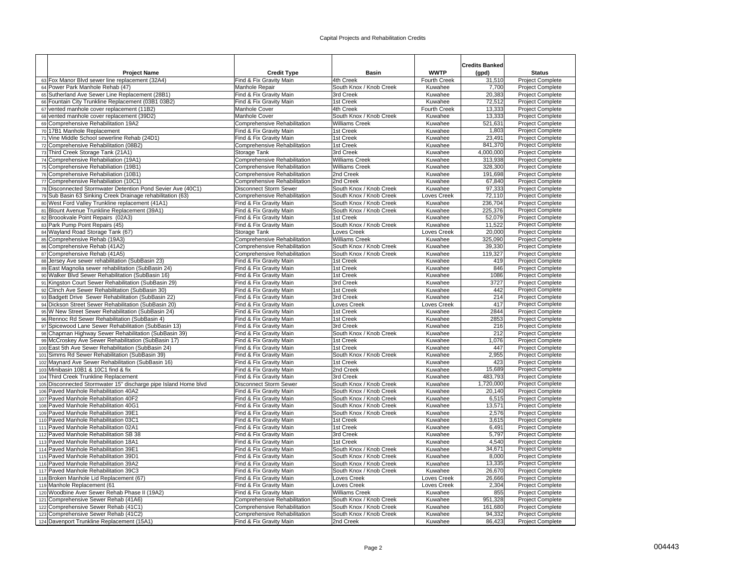| <b>Project Name</b>                                                                                                       | <b>Credit Type</b>                                            | <b>Basin</b>                                       | <b>WWTP</b>            | <b>Credits Banked</b><br>(gpd) | <b>Status</b>                               |
|---------------------------------------------------------------------------------------------------------------------------|---------------------------------------------------------------|----------------------------------------------------|------------------------|--------------------------------|---------------------------------------------|
| 63 Fox Manor Blvd sewer line replacement (32A4)                                                                           | Find & Fix Gravity Main                                       | 4th Creek                                          | Fourth Creek           | 31,510                         | Project Complete                            |
| 64 Power Park Manhole Rehab (47)                                                                                          | Manhole Repair                                                | South Knox / Knob Creek                            | Kuwahee                | 7,700                          | Project Complete                            |
| 65 Sutherland Ave Sewer Line Replacement (28B1)                                                                           | Find & Fix Gravity Main                                       | 3rd Creek                                          | Kuwahee                | 20,383                         | Project Complete                            |
| 66 Fountain City Trunkline Replacement (03B1 03B2)                                                                        | Find & Fix Gravity Main                                       | 1st Creek                                          | Kuwahee                | 72,512                         | Project Complete                            |
| 67 vented manhole cover replacement (11B2)                                                                                | Manhole Cover                                                 | 4th Creek                                          | <b>Fourth Creek</b>    | 13,333                         | <b>Project Complete</b>                     |
| 68 vented manhole cover replacement (39D2)                                                                                | Manhole Cover                                                 | South Knox / Knob Creek                            | Kuwahee                | 13,333                         | Project Complete                            |
| 69 Comprehensive Rehabilitation 19A2                                                                                      | Comprehensive Rehabilitation                                  | Williams Creek                                     | Kuwahee                | 521,631                        | <b>Project Complete</b>                     |
| 70 17B1 Manhole Replacement                                                                                               | Find & Fix Gravity Main                                       | 1st Creek                                          | Kuwahee                | 1,803                          | Project Complete                            |
| 71 Vine Middle School sewerline Rehab (24D1)                                                                              | Find & Fix Gravity Main                                       | 1st Creek                                          | Kuwahee                | 23,491                         | Project Complete                            |
| 72 Comprehensive Rehabilitation (08B2)                                                                                    | Comprehensive Rehabilitation                                  | 1st Creek                                          | Kuwahee                | 841,370                        | <b>Project Complete</b>                     |
| 73 Third Creek Storage Tank (21A1)                                                                                        | Storage Tank                                                  | 3rd Creek                                          | Kuwahee                | 4,000,000                      | Project Complete                            |
| 74 Comprehensive Rehabiliation (19A1)                                                                                     | Comprehensive Rehabilitation                                  | <b>Williams Creek</b>                              | Kuwahee                | 313,938                        | Project Complete                            |
| 75 Comprehensive Rehabiliation (19B1)                                                                                     | Comprehensive Rehabilitation                                  | <b>Williams Creek</b>                              | Kuwahee                | 328,300                        | Project Complete                            |
| 76 Comprehensive Rehabiliation (10B1)<br>77 Comprehensive Rehabiliation (10C1)                                            | Comprehensive Rehabilitation                                  | 2nd Creek<br>2nd Creek                             | Kuwahee                | 191,698<br>67,840              | Project Complete                            |
|                                                                                                                           | Comprehensive Rehabilitation                                  |                                                    | Kuwahee                |                                | Project Complete                            |
| 78 Disconnected Stormwater Detention Pond Sevier Ave (40C1)<br>79 Sub Basin 63 Sinking Creek Drainage rehabilitation (63) | <b>Disconnect Storm Sewer</b><br>Comprehensive Rehabilitation | South Knox / Knob Creek<br>South Knox / Knob Creek | Kuwahee<br>Loves Creek | 97,333<br>72.110               | Project Complete<br><b>Project Complete</b> |
| 80 West Ford Valley Trunkline replacement (41A1)                                                                          | Find & Fix Gravity Main                                       | South Knox / Knob Creek                            | Kuwahee                | 236,704                        | Project Complete                            |
| 81 Blount Avenue Trunkline Replacement (39A1)                                                                             | Find & Fix Gravity Main                                       | South Knox / Knob Creek                            | Kuwahee                | 225,376                        | Project Complete                            |
| 82 Broookvale Point Repairs (02A3)                                                                                        | Find & Fix Gravity Main                                       | 1st Creek                                          | Kuwahee                | 52,079                         | Project Complete                            |
| 83 Park Pump Point Repairs (45)                                                                                           | Find & Fix Gravity Main                                       | South Knox / Knob Creek                            | Kuwahee                | 11,522                         | Project Complete                            |
| 84 Wayland Road Storage Tank (67)                                                                                         | Storage Tank                                                  | Loves Creek                                        | Loves Creek            | 20,000                         | Project Complete                            |
| 85 Comprehensive Rehab (19A3)                                                                                             | Comprehensive Rehabilitation                                  | <b>Williams Creek</b>                              | Kuwahee                | 325,090                        | Project Complete                            |
| 86 Comprehensive Rehab (41A2)                                                                                             | Comprehensive Rehabilitation                                  | South Knox / Knob Creek                            | Kuwahee                | 39,330                         | Project Complete                            |
| 87 Comprehensive Rehab (41A5)                                                                                             | Comprehensive Rehabilitation                                  | South Knox / Knob Creek                            | Kuwahee                | 119,327                        | <b>Project Complete</b>                     |
| 88 Jersey Ave sewer rehabilitation (SubBasin 23)                                                                          | Find & Fix Gravity Main                                       | 1st Creek                                          | Kuwahee                | 419                            | Project Complete                            |
| 89 East Magnolia sewer rehabilitation (SubBasin 24)                                                                       | Find & Fix Gravity Main                                       | 1st Creek                                          | Kuwahee                | 846                            | <b>Project Complete</b>                     |
| 90 Walker Blvd Sewer Rehabilitation (SubBasin 16)                                                                         | Find & Fix Gravity Main                                       | 1st Creek                                          | Kuwahee                | 1086                           | Project Complete                            |
| 91 Kingston Court Sewer Rehabilitation (SubBasin 29)                                                                      | Find & Fix Gravity Main                                       | 3rd Creek                                          | Kuwahee                | 3727                           | Project Complete                            |
| 92 Clinch Ave Sewer Rehabilitation (SubBasin 30)                                                                          | Find & Fix Gravity Main                                       | 1st Creek                                          | Kuwahee                | 442                            | Project Complete                            |
| 93 Badgett Drive Sewer Rehabilitation (SubBasin 22)                                                                       | Find & Fix Gravity Main                                       | 3rd Creek                                          | Kuwahee                | 214                            | Project Complete                            |
| 94 Dickson Street Sewer Rehabilitation (SubBasin 20)                                                                      | Find & Fix Gravity Main                                       | Loves Creek                                        | Loves Creek            | 417                            | Project Complete                            |
| 95 W New Street Sewer Rehabilitation (SubBasin 24)                                                                        | Find & Fix Gravity Main                                       | 1st Creek                                          | Kuwahee                | 2844                           | <b>Project Complete</b>                     |
| 96 Rennoc Rd Sewer Rehabilitation (SubBasin 4)                                                                            | Find & Fix Gravity Main                                       | 1st Creek                                          | Kuwahee                | 2853                           | Project Complete                            |
| 97 Spicewood Lane Sewer Rehabilitation (SubBasin 13)                                                                      | Find & Fix Gravity Main                                       | 3rd Creek                                          | Kuwahee                | 216                            | <b>Project Complete</b>                     |
| 98 Chapman Highway Sewer Rehabilitation (SubBasin 39)                                                                     | Find & Fix Gravity Main                                       | South Knox / Knob Creek                            | Kuwahee                | 212                            | Project Complete                            |
| 99 McCroskey Ave Sewer Rehabilitation (SubBasin 17)                                                                       | Find & Fix Gravity Main                                       | 1st Creek                                          | Kuwahee                | 1.076                          | <b>Project Complete</b>                     |
| 100 East 5th Ave Sewer Rehabilitation (SubBasin 24)                                                                       | Find & Fix Gravity Main                                       | 1st Creek                                          | Kuwahee                | 447                            | Project Complete                            |
| 101 Simms Rd Sewer Rehabilitation (SubBasin 39)                                                                           | Find & Fix Gravity Main                                       | South Knox / Knob Creek                            | Kuwahee                | 2,955                          | Project Complete                            |
| 102 Maynard Ave Sewer Rehabilitation (SubBasin 16)                                                                        | Find & Fix Gravity Main                                       | 1st Creek<br>2nd Creek                             | Kuwahee                | 423                            | Project Complete                            |
| 103 Minibasin 10B1 & 10C1 find & fix<br>104 Third Creek Trunkline Replacement                                             | Find & Fix Gravity Main<br>Find & Fix Gravity Main            | 3rd Creek                                          | Kuwahee<br>Kuwahee     | 15,689<br>483,793              | Project Complete<br>Project Complete        |
| 105 Disconnected Stormwater 15" discharge pipe Island Home blvd                                                           | <b>Disconnect Storm Sewer</b>                                 | South Knox / Knob Creek                            | Kuwahee                | 1,720,000                      | Project Complete                            |
| 106 Paved Manhole Rehabilitation 40A2                                                                                     | Find & Fix Gravity Main                                       | South Knox / Knob Creek                            | Kuwahee                | 20,140                         | <b>Project Complete</b>                     |
| 107 Paved Manhole Rehabilitation 40F2                                                                                     | Find & Fix Gravity Main                                       | South Knox / Knob Creek                            | Kuwahee                | 6,515                          | Project Complete                            |
| 108 Paved Manhole Rehabilitation 40G1                                                                                     | Find & Fix Gravity Main                                       | South Knox / Knob Creek                            | Kuwahee                | 13,571                         | Project Complete                            |
| 109 Paved Manhole Rehabilitation 39E1                                                                                     | Find & Fix Gravity Main                                       | South Knox / Knob Creek                            | Kuwahee                | 2,576                          | <b>Project Complete</b>                     |
| 110 Paved Manhole Rehabilitation 03C1                                                                                     | Find & Fix Gravity Main                                       | 1st Creek                                          | Kuwahee                | 3,615                          | Project Complete                            |
| 111 Paved Manhole Rehabilitation 02A1                                                                                     | Find & Fix Gravity Main                                       | 1st Creek                                          | Kuwahee                | 6.491                          | Project Complete                            |
| 112 Paved Manhole Rehabilitation SB 38                                                                                    | Find & Fix Gravity Main                                       | 3rd Creek                                          | Kuwahee                | 5,797                          | Project Complete                            |
| 113 Paved Manhole Rehabilitation 18A1                                                                                     | Find & Fix Gravity Main                                       | 1st Creek                                          | Kuwahee                | 4,540                          | Project Complete                            |
| 114 Paved Manhole Rehabilitation 39E1                                                                                     | Find & Fix Gravity Main                                       | South Knox / Knob Creek                            | Kuwahee                | 34,671                         | Project Complete                            |
| 115 Paved Manhole Rehabilitation 39D1                                                                                     | Find & Fix Gravity Main                                       | South Knox / Knob Creek                            | Kuwahee                | 8,000                          | Project Complete                            |
| 116 Paved Manhole Rehabilitation 39A2                                                                                     | Find & Fix Gravity Main                                       | South Knox / Knob Creek                            | Kuwahee                | 13,335                         | <b>Project Complete</b>                     |
| 117 Paved Manhole Rehabilitation 39C3                                                                                     | Find & Fix Gravity Main                                       | South Knox / Knob Creek                            | Kuwahee                | 26,670                         | Project Complete                            |
| 118 Broken Manhole Lid Replacement (67)                                                                                   | Find & Fix Gravity Main                                       | Loves Creek                                        | Loves Creek            | 26,666                         | Project Complete                            |
| 119 Manhole Replacement (61                                                                                               | Find & Fix Gravity Main                                       | Loves Creek                                        | Loves Creek            | 2,304                          | <b>Project Complete</b>                     |
| 120 Woodbine Aver Sewer Rehab Phase II (19A2)                                                                             | Find & Fix Gravity Main                                       | <b>Williams Creek</b>                              | Kuwahee                | 855                            | Project Complete                            |
| 121 Comprehensive Sewer Rehab (41A6)                                                                                      | Comprehensive Rehabilitation                                  | South Knox / Knob Creek                            | Kuwahee                | 951,328                        | Project Complete                            |
| 122 Comprehensive Sewer Rehab (41C1)                                                                                      | Comprehensive Rehabilitation                                  | South Knox / Knob Creek                            | Kuwahee                | 161,680                        | Project Complete                            |
| 123 Comprehensive Sewer Rehab (41C2)                                                                                      | Comprehensive Rehabilitation                                  | South Knox / Knob Creek                            | Kuwahee                | 94,332                         | Project Complete                            |
| 124 Davenport Trunkline Replacement (15A1)                                                                                | Find & Fix Gravity Main                                       | 2nd Creek                                          | Kuwahee                | 86,423                         | Project Complete                            |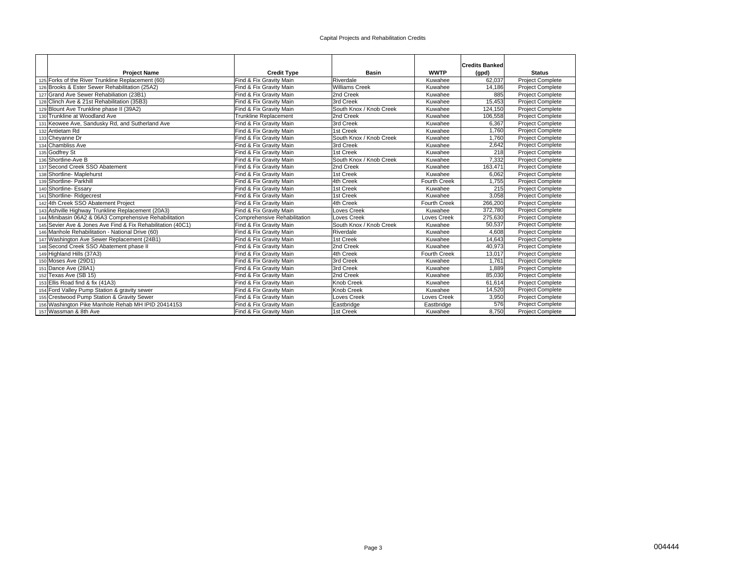|                                                             |                              |                         |                     | <b>Credits Banked</b> |                         |
|-------------------------------------------------------------|------------------------------|-------------------------|---------------------|-----------------------|-------------------------|
| <b>Project Name</b>                                         | <b>Credit Type</b>           | <b>Basin</b>            | <b>WWTP</b>         | (gpd)                 | <b>Status</b>           |
| 125 Forks of the River Trunkline Replacement (60)           | Find & Fix Gravity Main      | Riverdale               | Kuwahee             | 62.037                | <b>Project Complete</b> |
| 126 Brooks & Ester Sewer Rehabilitation (25A2)              | Find & Fix Gravity Main      | <b>Williams Creek</b>   | Kuwahee             | 14.186                | <b>Project Complete</b> |
| 127 Grand Ave Sewer Rehabiliation (23B1)                    | Find & Fix Gravity Main      | 2nd Creek               | Kuwahee             | 885                   | <b>Project Complete</b> |
| 128 Clinch Ave & 21st Rehabilitation (35B3)                 | Find & Fix Gravity Main      | 3rd Creek               | Kuwahee             | 15,453                | <b>Project Complete</b> |
| 129 Blount Ave Trunkline phase II (39A2)                    | Find & Fix Gravity Main      | South Knox / Knob Creek | Kuwahee             | 124,150               | <b>Project Complete</b> |
| 130 Trunkline at Woodland Ave                               | <b>Trunkline Replacement</b> | 2nd Creek               | Kuwahee             | 106,558               | <b>Project Complete</b> |
| 131 Keowee Ave, Sandusky Rd, and Sutherland Ave             | Find & Fix Gravity Main      | 3rd Creek               | Kuwahee             | 6,367                 | <b>Project Complete</b> |
| 132 Antietam Rd                                             | Find & Fix Gravity Main      | 1st Creek               | Kuwahee             | 1.760                 | <b>Project Complete</b> |
| 133 Cheyanne Dr                                             | Find & Fix Gravity Main      | South Knox / Knob Creek | Kuwahee             | 1.760                 | <b>Project Complete</b> |
| 134 Chambliss Ave                                           | Find & Fix Gravity Main      | 3rd Creek               | Kuwahee             | 2.642                 | <b>Project Complete</b> |
| 135 Godfrey St                                              | Find & Fix Gravity Main      | 1st Creek               | Kuwahee             | 218                   | <b>Project Complete</b> |
| 136 Shortline-Ave B                                         | Find & Fix Gravity Main      | South Knox / Knob Creek | Kuwahee             | 7.332                 | <b>Project Complete</b> |
| 137 Second Creek SSO Abatement                              | Find & Fix Gravity Main      | 2nd Creek               | Kuwahee             | 163,471               | <b>Project Complete</b> |
| 138 Shortline- Maplehurst                                   | Find & Fix Gravity Main      | 1st Creek               | Kuwahee             | 6.062                 | <b>Project Complete</b> |
| 139 Shortline- Parkhill                                     | Find & Fix Gravity Main      | 4th Creek               | <b>Fourth Creek</b> | 1,755                 | <b>Project Complete</b> |
| 140 Shortline- Essary                                       | Find & Fix Gravity Main      | 1st Creek               | Kuwahee             | 215                   | <b>Project Complete</b> |
| 141 Shortline-Ridgecrest                                    | Find & Fix Gravity Main      | 1st Creek               | Kuwahee             | 3,058                 | Project Complete        |
| 142 4th Creek SSO Abatement Project                         | Find & Fix Gravity Main      | 4th Creek               | <b>Fourth Creek</b> | 266,200               | <b>Project Complete</b> |
| 143 Ashville Highway Trunkline Replacement (20A3)           | Find & Fix Gravity Main      | Loves Creek             | Kuwahee             | 372,780               | <b>Project Complete</b> |
| 144 Minibasin 06A2 & 06A3 Comprehensive Rehabilitation      | Comprehensive Rehabilitation | Loves Creek             | <b>Loves Creek</b>  | 275,630               | <b>Project Complete</b> |
| 145 Sevier Ave & Jones Ave Find & Fix Rehabilitation (40C1) | Find & Fix Gravity Main      | South Knox / Knob Creek | Kuwahee             | 50,537                | <b>Project Complete</b> |
| 146 Manhole Rehabilitation - National Drive (60)            | Find & Fix Gravity Main      | Riverdale               | Kuwahee             | 4,608                 | <b>Project Complete</b> |
| 147 Washington Ave Sewer Replacement (24B1)                 | Find & Fix Gravity Main      | 1st Creek               | Kuwahee             | 14,643                | <b>Project Complete</b> |
| 148 Second Creek SSO Abatement phase II                     | Find & Fix Gravity Main      | 2nd Creek               | Kuwahee             | 40,973                | <b>Project Complete</b> |
| 149 Highland Hills (37A3)                                   | Find & Fix Gravity Main      | 4th Creek               | <b>Fourth Creek</b> | 13,017                | <b>Project Complete</b> |
| 150 Moses Ave (29D1)                                        | Find & Fix Gravity Main      | 3rd Creek               | Kuwahee             | 1.761                 | Project Complete        |
| 151 Dance Ave (28A1)                                        | Find & Fix Gravity Main      | 3rd Creek               | Kuwahee             | 1.889                 | <b>Project Complete</b> |
| 152 Texas Ave (SB 15)                                       | Find & Fix Gravity Main      | 2nd Creek               | Kuwahee             | 85,030                | Project Complete        |
| 153 Ellis Road find & fix (41A3)                            | Find & Fix Gravity Main      | Knob Creek              | Kuwahee             | 61.614                | <b>Project Complete</b> |
| 154 Ford Valley Pump Station & gravity sewer                | Find & Fix Gravity Main      | Knob Creek              | Kuwahee             | 14,520                | <b>Project Complete</b> |
| 155 Crestwood Pump Station & Gravity Sewer                  | Find & Fix Gravity Main      | Loves Creek             | Loves Creek         | 3.950                 | <b>Project Complete</b> |
| 156 Washington Pike Manhole Rehab MH IPID 20414153          | Find & Fix Gravity Main      | Eastbridge              | Eastbridge          | 576                   | <b>Project Complete</b> |
| 157 Wassman & 8th Ave                                       | Find & Fix Gravity Main      | 1st Creek               | Kuwahee             | 8,750                 | <b>Project Complete</b> |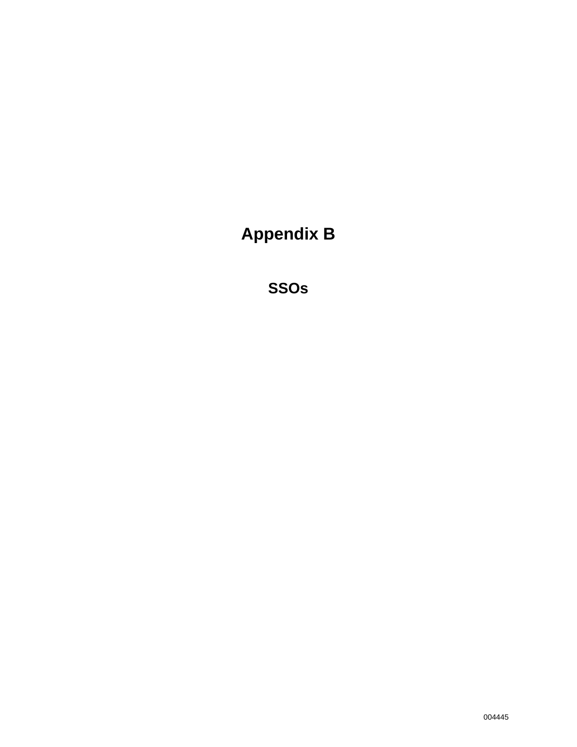**Appendix B** 

**SSOs**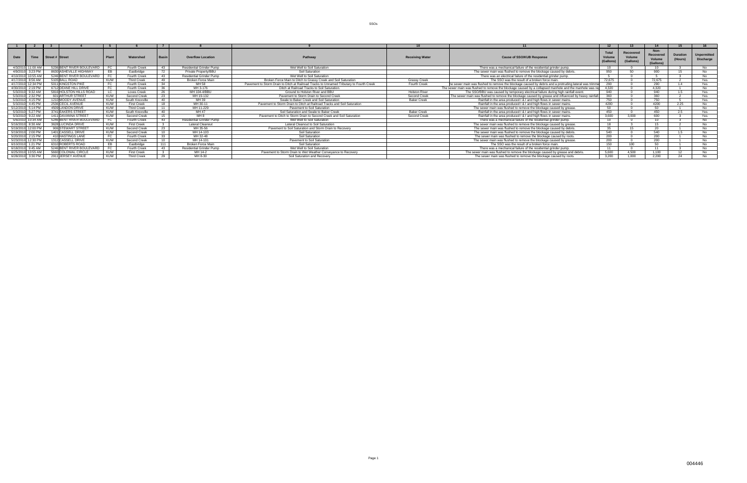| Date      | Time                    | Street # Street           | Plant      | Watershed           | Basi | <b>Overflow Location</b>        | Pathway                                                                                  | <b>Receiving Water</b> | <b>Cause of SSO/KUB Response</b>                                                                        | (Gallons | Recovered<br>Volum<br>(Gallons) | Non-<br>Recovered<br>Volume<br>(Gallons) | <b>Duration</b><br>(Hours) | <b>Unpermitted</b><br><b>Discharge</b> |
|-----------|-------------------------|---------------------------|------------|---------------------|------|---------------------------------|------------------------------------------------------------------------------------------|------------------------|---------------------------------------------------------------------------------------------------------|----------|---------------------------------|------------------------------------------|----------------------------|----------------------------------------|
|           | 4/3/2010 11:00 AM       | 5236 BENT RIVER BOULEVARD |            | Fourth Creek        | - 43 | <b>Residential Grinder Pump</b> | Wet Well to Soil Saturation                                                              |                        | There was a mechanical failure of the residential grinder pump.                                         |          |                                 |                                          |                            |                                        |
| 4/9/2010  | $3:23$ PM               | 8630 ASHEVILLE HIGHWAY    |            | Eastbridge          | 72   | Private Property/BBU            | Soil Saturation                                                                          |                        | The sewer main was flushed to remove the blockage caused by debris.                                     | 950      |                                 | 900                                      |                            |                                        |
| 4/10/2010 |                         | 5246 BENT RIVER BOULEVARD |            | <b>Fourth Creek</b> | - 43 | Residential Grinder Pump        | Wet Well to Soil Saturation                                                              |                        | There was an electrical failure of the residential grinder pump.                                        |          |                                 |                                          |                            | N∩                                     |
| 4/17/2010 | $8.56$ AM               | 5105 BALL ROAD            | KUW        | <b>Third Creek</b>  | 49   | Broken Force Main               | Broken Force Main to Ditch to Grassy Creek and Soil Saturation                           | <b>Grassy Creek</b>    | The SSO was the result of a broken force main.                                                          | 72.675   |                                 | 72.675                                   |                            | Yes                                    |
|           | 4/17/2010 12:34 PM      | 5011 KINGSTON PIKE        |            | Fourth Creek        | - 34 | MH 58                           | Pavement to Storm Drain to Ditch at Railroad Tracks to Unnamed Tributary to Fourth Creek | Fourth Creek           | he sewer main was flushed to remove the blockage caused by debris and a protruding lateral was trimme   | 290      |                                 | 290                                      |                            | Yes                                    |
| 4/30/2010 | 2:19 PM                 | 6712 DEANE HILL DRIVE     |            | Fourth Creek        | -36  | MH 3-176                        | Ditch at Railroad Tracks to Soil Saturation.                                             |                        | The sewer main was flushed to remove the blockage caused by a collapsed manhole and the manhole was rep | 4.320    |                                 | 4.320                                    |                            | N <sub>o</sub>                         |
| 5/3/2010  | $Q \cdot 32$ $\Delta M$ | 5816 HOLSTON HILLS ROAD   |            | <b>Loves Creek</b>  | 26   | MH 104-4/BBU                    | Ground to Holston River and BBU                                                          | <b>Holston River</b>   | The SSO/BBU was caused by temporary electrical failure during high rainfall event.                      | 940      |                                 | 940                                      | 15                         | Yes                                    |
| 5/3/2010  | $2.32$ PM               | 601 ARTHUR STREET         | KUW        | Second Creek        |      | MH 19-132                       | Payement to Storm Drain to Second Creek                                                  | Second Creek           | The sewer main was flushed to remove the blockage caused by grease and influenced by heavy rainfall.    | 360      |                                 | 360                                      |                            | Yes                                    |
| 5/3/2010  | 4:15 PM                 | 1210 MOODY AVENUE         | <b>KUW</b> | South Knoxville     | 40   | MH 39                           | Swale to Baker Creek and Soil Saturation                                                 | <b>Baker Creek</b>     | Rainfall in the area produced I & I and high flows in sewer mains.                                      | 750      |                                 | 750                                      |                            | Yes                                    |
|           | 5/3/2010 4:45 PM        | 2536 CECIL AVENUE         | <b>KUW</b> | <b>First Creek</b>  | 18   | MH 30-11                        | Pavement to Storm Drain to Ditch at Railroad Tracks and Soil Saturation                  |                        | Rainfall in the area produced I & I and high flows in sewer mains.                                      | 4200     |                                 | 4200                                     | 2.25                       | No                                     |
| 5/12/2010 | $5.14$ PM               | 4509 LANDON DRIVE         | KUW        | <b>Third Creek</b>  |      | MH 11-229                       | Pavement to Soil Saturation                                                              |                        | The sewer main was flushed to remove the blockage caused by grease.                                     | -50      |                                 | -50                                      |                            | N <sub>IO</sub>                        |
| 5/3/2010  | 5:27 PM                 | 3741 EAKERS STREET        | <b>KUW</b> | South Knoxville     | - 40 | MH 47                           | Soil Saturation and Swale to Baker Creek                                                 | <b>Baker Creek</b>     | Rainfall in the area produced I & I and high flows in sewer mains.                                      | 450      |                                 | 450                                      | つら                         | Yes                                    |
|           | 5/3/2010 9:22 AM        | 1411 DAVANNA STREET       | <b>KUW</b> | Second Creek        |      | MH 8                            | Pavement to Ditch to Storm Drain to Second Creek and Soil Saturation                     | Second Creek           | Rainfall in the area produced I & I and high flows in sewer mains.                                      | 3.600    | חחח ד                           | 600                                      |                            | Yes                                    |
| 5/6/2010  | $10:34 \text{ AM}$      | 5246 BENT RIVER BOULEVARD |            | <b>Fourth Creek</b> | - 43 | <b>Residential Grinder Pump</b> | Wet Well to Soil Saturation                                                              |                        | There was a mechanical failure of the residential grinder pump.                                         | 10       |                                 | 10                                       |                            | No.                                    |
|           | 5/16/2010 8:30 AM       | 3628 LUCINDA DRIVE        | KUW        | <b>First Creek</b>  |      | <b>Lateral Cleanout</b>         | Lateral Cleanout to Soil Saturation                                                      |                        | The sewer main was flushed to remove the blockage caused by grease.                                     |          |                                 |                                          |                            | N <sub>o</sub>                         |
|           | 5/19/2010 12:00 PM      | 906 STEWART STREET        | KUW        | Second Creek        | - 23 | MH 35-56                        | Pavement to Soil Saturation and Storm Drain to Recovery                                  |                        | The sewer main was flushed to remove the blockage caused by debris.                                     |          |                                 | - 20                                     |                            | No.                                    |
| 5/19/2010 | $2:00$ PM               | 1401 CASSELL DRIVE        | KUW        | Second Creek        | 10   | MH 14-103                       | Soil Saturation                                                                          |                        | The sewer main was flushed to remove the blockage caused by debris.                                     | 540      |                                 | 540                                      | $15 -$                     | <b>N<sub>o</sub></b>                   |
|           | 5/20/2010 2:15 PM       | 410 HASTINGS LANE         |            | Fourth Creek        | - 33 | MH 32-48                        | Soil Saturation                                                                          |                        | The sewer main was flushed to remove the blockage caused by roots.                                      | 200      |                                 | 200                                      |                            | N <sub>o</sub>                         |
|           | 5/23/2010 12:30 PM      | 1312 CASSELL DRIVE        | KUW        | Second Creek        | 10   | MH 14-101                       | Pavement to Soil Saturation                                                              |                        | The sewer main was flushed to remove the blockage caused by grease.                                     | 200      |                                 | 200                                      |                            | No                                     |
| 6/10/2010 | $1:21$ PM               | 6310 ROBERTS ROAD         |            | Eastbridge          | 111  | <b>Broken Force Main</b>        | Soil Saturation                                                                          |                        | The SSO was the result of a broken force main.                                                          | 150      | 100 $\sim$                      | 50                                       |                            | <b>No</b>                              |
| 6/18/2010 | $9:45$ AM               | 5246 BENT RIVER BOULEVARD |            | <b>Fourth Creek</b> | - 43 | <b>Residential Grinder Pump</b> | Wet Well to Soil Saturation                                                              |                        | There was a mechanical failure of the residential grinder pump.                                         | 11       |                                 | 11                                       |                            | N <sub>0</sub>                         |
|           | 6/25/2010 10:55 AM      | 5660 COLONIAL CIRCLE      | KUW        | <b>First Creek</b>  |      | MH 14-2                         | Payement to Storm Drain to Wet Weather Conveyance to Recovery                            |                        | The sewer main was flushed to remove the blockage caused by grease and debris.                          | 5.600    |                                 | 1.100                                    |                            | <b>N<sub>o</sub></b>                   |
|           | 6/28/2010 3:30 PM       | 2911 JERSEY AVENUE        | KUW        | <b>Third Creek</b>  |      | MH 8-30                         | Soil Saturation and Recovery                                                             |                        | The sewer main was flushed to remove the blockage caused by roots.                                      | 3.200    | 1.000                           | 2.200                                    |                            |                                        |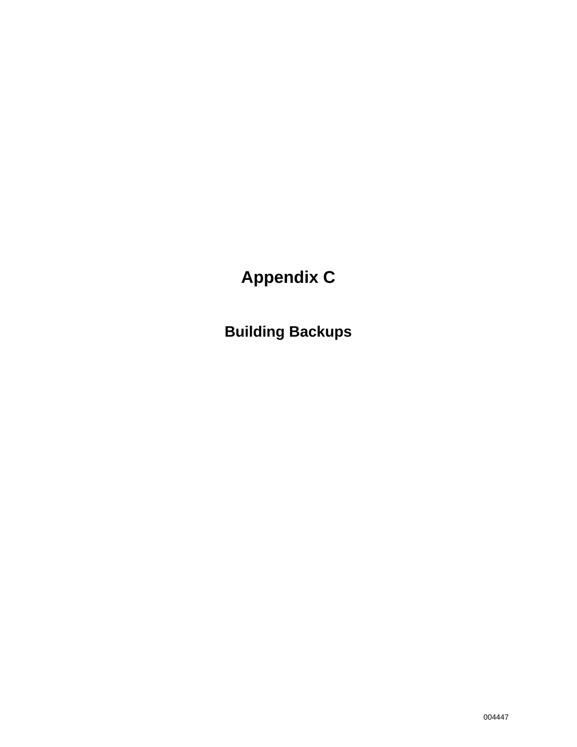# **Appendix C**

**Building Backups**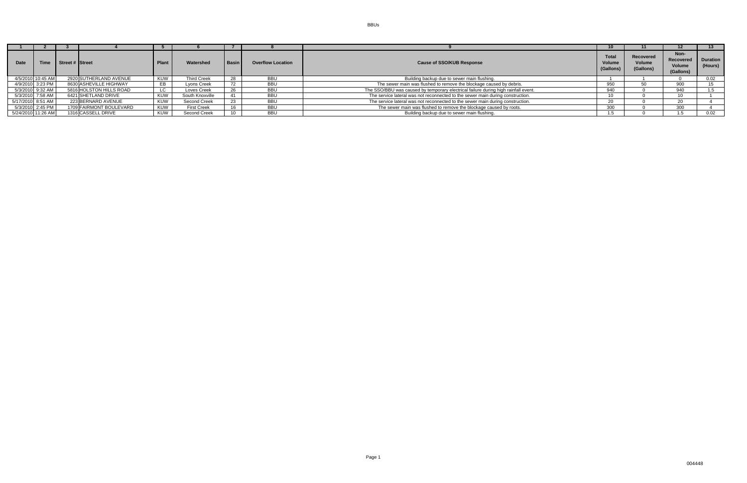| <b>Date</b>        | Time | Street # Street |                         | l Plant | Watershed          | <b>Basin</b> | <b>Overflow Location</b> | <b>Cause of SSO/KUB Response</b>                                                   | <b>Total</b><br><b>Volume</b><br>(Gallons) | Recovered<br><b>Volume</b><br>(Gallons) | Non-<br>Recovered<br>Volume<br>(Gallons) | <b>Duration</b><br>(Hours) |
|--------------------|------|-----------------|-------------------------|---------|--------------------|--------------|--------------------------|------------------------------------------------------------------------------------|--------------------------------------------|-----------------------------------------|------------------------------------------|----------------------------|
| 4/5/2010 10:45 AM  |      |                 | 2920 SUTHERLAND AVENUE  | KUW     | <b>Third Creek</b> | 28           | <b>BBU</b>               | Building backup due to sewer main flushing.                                        |                                            |                                         |                                          | 0.02                       |
| 4/9/2010 3:23 PM   |      |                 | 8630 ASHEVILLE HIGHWAY  | EB      | Lvons Creek        | 72           | <b>BBU</b>               | The sewer main was flushed to remove the blockage caused by debris.                | 950                                        | 50                                      | 900                                      | 15 <sup>15</sup>           |
| 5/3/2010 9:32 AM   |      |                 | 5816 HOLSTON HILLS ROAD | LC      | Loves Creek        | 26           | <b>BBU</b>               | The SSO/BBU was caused by temporary electrical failure during high rainfall event. | 940                                        |                                         | 940                                      | 1.5                        |
| 5/3/2010 7:58 AM   |      |                 | 6421 SHETLAND DRIVE     | KUW     | South Knoxville    |              | <b>BBU</b>               | The service lateral was not reconnected to the sewer main during construction.     |                                            |                                         | 10.                                      |                            |
| 5/17/2010 8:51 AM  |      |                 | 223 BERNARD AVENUE      | KUW     | Second Creek       | 23           | <b>BBU</b>               | The service lateral was not reconnected to the sewer main during construction.     | 20-                                        |                                         | 20                                       |                            |
| 5/3/2010 2:45 PM   |      |                 | 1709 FAIRMONT BOULEVARD | KUW     | <b>First Creek</b> |              | <b>BBU</b>               | The sewer main was flushed to remove the blockage caused by roots.                 | 300                                        |                                         | 300                                      |                            |
| 5/24/2010 11:26 AM |      |                 | 1316 CASSELL DRIVE      | KUW     | Second Creek       |              | <b>BBU</b>               | Building backup due to sewer main flushing.                                        |                                            |                                         |                                          | 0.02                       |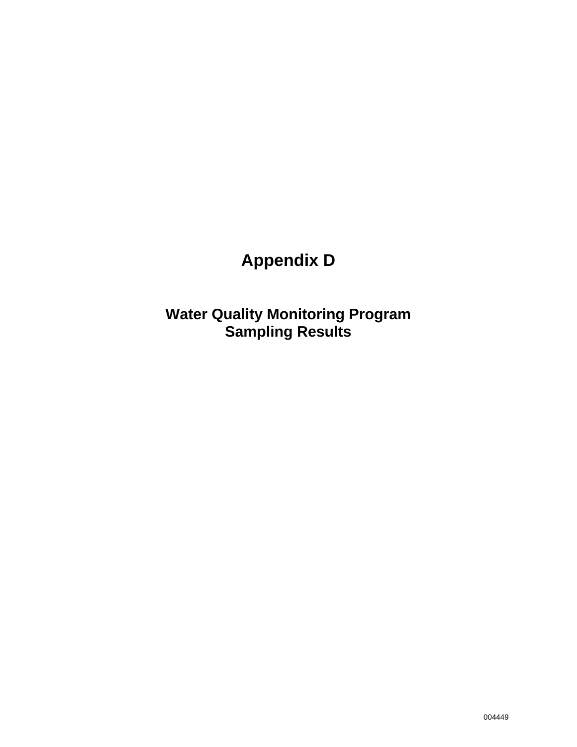# **Appendix D**

**Water Quality Monitoring Program Sampling Results**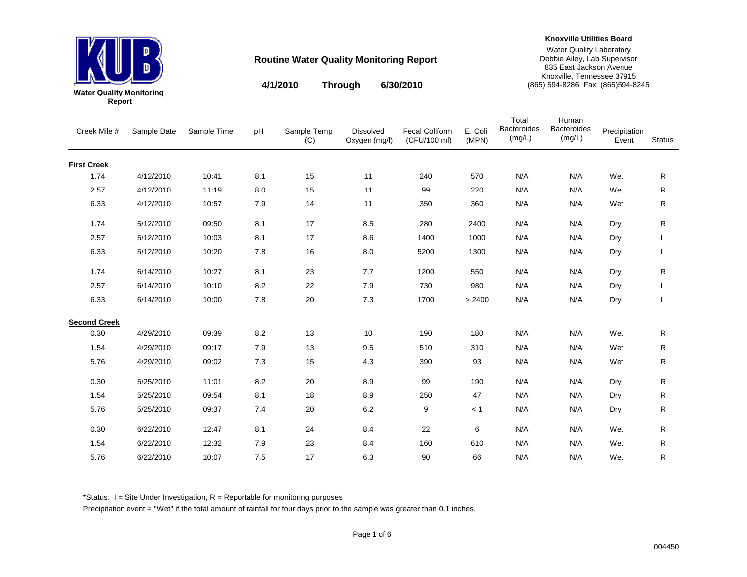

**Knoxville Utilities Board**

Water Quality Laboratory Debbie Ailey, Lab Supervisor 835 East Jackson Avenue Knoxville, Tennessee 37915 (865) 594-8286 Fax: (865)594-8245

**4/1/2010 6/30/2010Through**

|        | er Quality Monitoring |
|--------|-----------------------|
| Report |                       |

| Creek Mile #        | Sample Date | Sample Time | pH      | Sample Temp<br>(C) | <b>Dissolved</b><br>Oxygen (mg/l) | <b>Fecal Coliform</b><br>(CFU/100 ml) | E. Coli<br>(MPN) | Total<br><b>Bacteroides</b><br>(mg/L) | Human<br><b>Bacteroides</b><br>(mg/L) | Precipitation<br>Event | <b>Status</b> |
|---------------------|-------------|-------------|---------|--------------------|-----------------------------------|---------------------------------------|------------------|---------------------------------------|---------------------------------------|------------------------|---------------|
| <b>First Creek</b>  |             |             |         |                    |                                   |                                       |                  |                                       |                                       |                        |               |
| 1.74                | 4/12/2010   | 10:41       | 8.1     | 15                 | 11                                | 240                                   | 570              | N/A                                   | N/A                                   | Wet                    | R             |
| 2.57                | 4/12/2010   | 11:19       | 8.0     | 15                 | 11                                | 99                                    | 220              | N/A                                   | N/A                                   | Wet                    | R             |
| 6.33                | 4/12/2010   | 10:57       | 7.9     | 14                 | 11                                | 350                                   | 360              | N/A                                   | N/A                                   | Wet                    | R.            |
| 1.74                | 5/12/2010   | 09:50       | 8.1     | 17                 | 8.5                               | 280                                   | 2400             | N/A                                   | N/A                                   | Dry                    | R             |
| 2.57                | 5/12/2010   | 10:03       | 8.1     | 17                 | 8.6                               | 1400                                  | 1000             | N/A                                   | N/A                                   | Dry                    |               |
| 6.33                | 5/12/2010   | 10:20       | 7.8     | 16                 | 8.0                               | 5200                                  | 1300             | N/A                                   | N/A                                   | Dry                    |               |
| 1.74                | 6/14/2010   | 10:27       | 8.1     | 23                 | 7.7                               | 1200                                  | 550              | N/A                                   | N/A                                   | Dry                    | R             |
| 2.57                | 6/14/2010   | 10:10       | 8.2     | 22                 | 7.9                               | 730                                   | 980              | N/A                                   | N/A                                   | Dry                    |               |
| 6.33                | 6/14/2010   | 10:00       | $7.8\,$ | 20                 | $7.3$                             | 1700                                  | > 2400           | N/A                                   | N/A                                   | Dry                    |               |
| <b>Second Creek</b> |             |             |         |                    |                                   |                                       |                  |                                       |                                       |                        |               |
| 0.30                | 4/29/2010   | 09:39       | 8.2     | 13                 | 10                                | 190                                   | 180              | N/A                                   | N/A                                   | Wet                    | R             |
| 1.54                | 4/29/2010   | 09:17       | 7.9     | 13                 | 9.5                               | 510                                   | 310              | N/A                                   | N/A                                   | Wet                    | R             |
| 5.76                | 4/29/2010   | 09:02       | 7.3     | 15                 | 4.3                               | 390                                   | 93               | N/A                                   | N/A                                   | Wet                    | R.            |
| 0.30                | 5/25/2010   | 11:01       | 8.2     | 20                 | 8.9                               | 99                                    | 190              | N/A                                   | N/A                                   | Dry                    | R             |
| 1.54                | 5/25/2010   | 09:54       | 8.1     | 18                 | 8.9                               | 250                                   | 47               | N/A                                   | N/A                                   | Dry                    | R             |
| 5.76                | 5/25/2010   | 09:37       | 7.4     | 20                 | 6.2                               | 9                                     | < 1              | N/A                                   | N/A                                   | Dry                    | R             |
| 0.30                | 6/22/2010   | 12:47       | 8.1     | 24                 | 8.4                               | 22                                    | 6                | N/A                                   | N/A                                   | Wet                    | R.            |
| 1.54                | 6/22/2010   | 12:32       | 7.9     | 23                 | 8.4                               | 160                                   | 610              | N/A                                   | N/A                                   | Wet                    | R             |
| 5.76                | 6/22/2010   | 10:07       | 7.5     | 17                 | 6.3                               | 90                                    | 66               | N/A                                   | N/A                                   | Wet                    | R             |

\*Status: I = Site Under Investigation, R = Reportable for monitoring purposes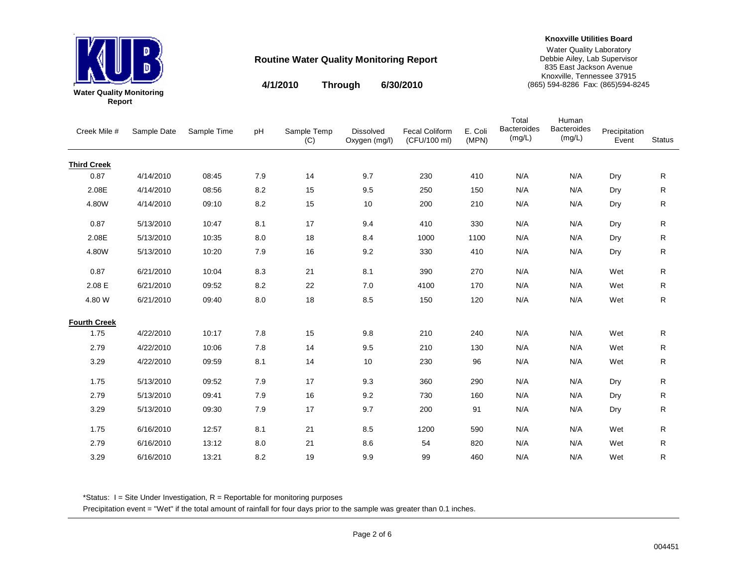

**Knoxville Utilities Board**

Water Quality Laboratory Debbie Ailey, Lab Supervisor 835 East Jackson Avenue Knoxville, Tennessee 37915 (865) 594-8286 Fax: (865)594-8245

**4/1/2010 6/30/2010Through**

| er Quanty Monitorin |  |
|---------------------|--|
| Report              |  |

| Creek Mile #        | Sample Date | Sample Time | pH      | Sample Temp<br>(C) | <b>Dissolved</b><br>Oxygen (mg/l) | <b>Fecal Coliform</b><br>(CFU/100 ml) | E. Coli<br>(MPN) | Total<br><b>Bacteroides</b><br>(mg/L) | Human<br><b>Bacteroides</b><br>(mg/L) | Precipitation<br>Event | Status |
|---------------------|-------------|-------------|---------|--------------------|-----------------------------------|---------------------------------------|------------------|---------------------------------------|---------------------------------------|------------------------|--------|
| <b>Third Creek</b>  |             |             |         |                    |                                   |                                       |                  |                                       |                                       |                        |        |
| 0.87                | 4/14/2010   | 08:45       | 7.9     | 14                 | 9.7                               | 230                                   | 410              | N/A                                   | N/A                                   | Dry                    | R      |
| 2.08E               | 4/14/2010   | 08:56       | 8.2     | 15                 | 9.5                               | 250                                   | 150              | N/A                                   | N/A                                   | Dry                    | R      |
| 4.80W               | 4/14/2010   | 09:10       | $8.2\,$ | 15                 | 10                                | 200                                   | 210              | N/A                                   | N/A                                   | Dry                    | R      |
| 0.87                | 5/13/2010   | 10:47       | 8.1     | 17                 | 9.4                               | 410                                   | 330              | N/A                                   | N/A                                   | Dry                    | R      |
| 2.08E               | 5/13/2010   | 10:35       | 8.0     | 18                 | 8.4                               | 1000                                  | 1100             | N/A                                   | N/A                                   | Dry                    | R      |
| 4.80W               | 5/13/2010   | 10:20       | $7.9$   | 16                 | 9.2                               | 330                                   | 410              | N/A                                   | N/A                                   | Dry                    | R      |
| 0.87                | 6/21/2010   | 10:04       | 8.3     | 21                 | 8.1                               | 390                                   | 270              | N/A                                   | N/A                                   | Wet                    | R      |
| 2.08 E              | 6/21/2010   | 09:52       | 8.2     | 22                 | 7.0                               | 4100                                  | 170              | N/A                                   | N/A                                   | Wet                    | R      |
| 4.80 W              | 6/21/2010   | 09:40       | $8.0\,$ | 18                 | 8.5                               | 150                                   | 120              | N/A                                   | N/A                                   | Wet                    | R      |
| <b>Fourth Creek</b> |             |             |         |                    |                                   |                                       |                  |                                       |                                       |                        |        |
| 1.75                | 4/22/2010   | 10:17       | 7.8     | 15                 | 9.8                               | 210                                   | 240              | N/A                                   | N/A                                   | Wet                    | R      |
| 2.79                | 4/22/2010   | 10:06       | 7.8     | 14                 | 9.5                               | 210                                   | 130              | N/A                                   | N/A                                   | Wet                    | R      |
| 3.29                | 4/22/2010   | 09:59       | 8.1     | 14                 | 10                                | 230                                   | 96               | N/A                                   | N/A                                   | Wet                    | R      |
| 1.75                | 5/13/2010   | 09:52       | 7.9     | 17                 | 9.3                               | 360                                   | 290              | N/A                                   | N/A                                   | Dry                    | R      |
| 2.79                | 5/13/2010   | 09:41       | 7.9     | 16                 | 9.2                               | 730                                   | 160              | N/A                                   | N/A                                   | Dry                    | R      |
| 3.29                | 5/13/2010   | 09:30       | 7.9     | 17                 | 9.7                               | 200                                   | 91               | N/A                                   | N/A                                   | Dry                    | R      |
| 1.75                | 6/16/2010   | 12:57       | 8.1     | 21                 | 8.5                               | 1200                                  | 590              | N/A                                   | N/A                                   | Wet                    | R      |
| 2.79                | 6/16/2010   | 13:12       | 8.0     | 21                 | 8.6                               | 54                                    | 820              | N/A                                   | N/A                                   | Wet                    | R      |
| 3.29                | 6/16/2010   | 13:21       | 8.2     | 19                 | 9.9                               | 99                                    | 460              | N/A                                   | N/A                                   | Wet                    | R      |

\*Status: I = Site Under Investigation, R = Reportable for monitoring purposes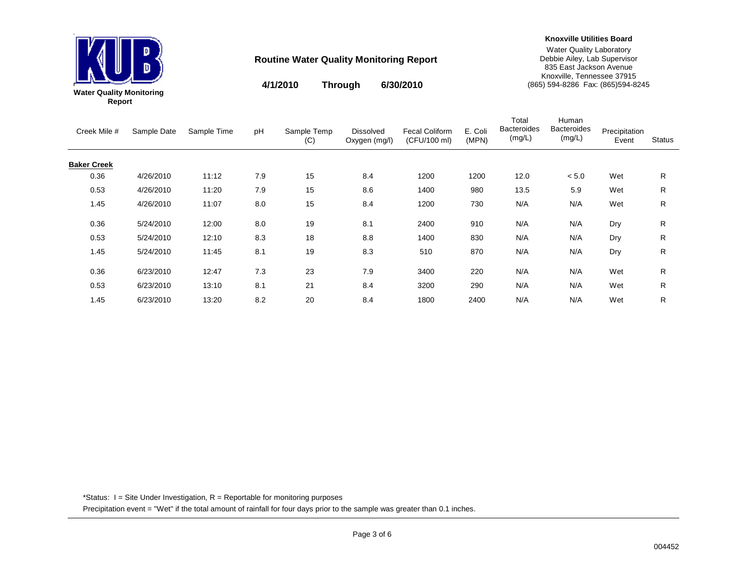

**Knoxville Utilities Board**

Water Quality Laboratory Debbie Ailey, Lab Supervisor 835 East Jackson Avenue Knoxville, Tennessee 37915 (865) 594-8286 Fax: (865)594-8245

Human

Total

**4/1/2010 6/30/2010Through**

| Creek Mile #       | Sample Date | Sample Time | pH  | Sample Temp<br>(C) | <b>Dissolved</b><br>Oxygen (mg/l) | <b>Fecal Coliform</b><br>(CFU/100 ml) | E. Coli<br>(MPN) | <b>Bacteroides</b><br>(mg/L) | <b>Bacteroides</b><br>(mg/L) | Precipitation<br>Event | <b>Status</b> |
|--------------------|-------------|-------------|-----|--------------------|-----------------------------------|---------------------------------------|------------------|------------------------------|------------------------------|------------------------|---------------|
| <b>Baker Creek</b> |             |             |     |                    |                                   |                                       |                  |                              |                              |                        |               |
| 0.36               | 4/26/2010   | 11:12       | 7.9 | 15                 | 8.4                               | 1200                                  | 1200             | 12.0                         | < 5.0                        | Wet                    | R.            |
| 0.53               | 4/26/2010   | 11:20       | 7.9 | 15                 | 8.6                               | 1400                                  | 980              | 13.5                         | 5.9                          | Wet                    | R             |
| 1.45               | 4/26/2010   | 11:07       | 8.0 | 15                 | 8.4                               | 1200                                  | 730              | N/A                          | N/A                          | Wet                    | R.            |
| 0.36               | 5/24/2010   | 12:00       | 8.0 | 19                 | 8.1                               | 2400                                  | 910              | N/A                          | N/A                          | Dry                    | R.            |
| 0.53               | 5/24/2010   | 12:10       | 8.3 | 18                 | 8.8                               | 1400                                  | 830              | N/A                          | N/A                          | Dry                    | R.            |
| 1.45               | 5/24/2010   | 11:45       | 8.1 | 19                 | 8.3                               | 510                                   | 870              | N/A                          | N/A                          | Dry                    | R             |
| 0.36               | 6/23/2010   | 12:47       | 7.3 | 23                 | 7.9                               | 3400                                  | 220              | N/A                          | N/A                          | Wet                    | R.            |
| 0.53               | 6/23/2010   | 13:10       | 8.1 | 21                 | 8.4                               | 3200                                  | 290              | N/A                          | N/A                          | Wet                    | R             |
| 1.45               | 6/23/2010   | 13:20       | 8.2 | 20                 | 8.4                               | 1800                                  | 2400             | N/A                          | N/A                          | Wet                    | R             |

\*Status: I = Site Under Investigation, R = Reportable for monitoring purposes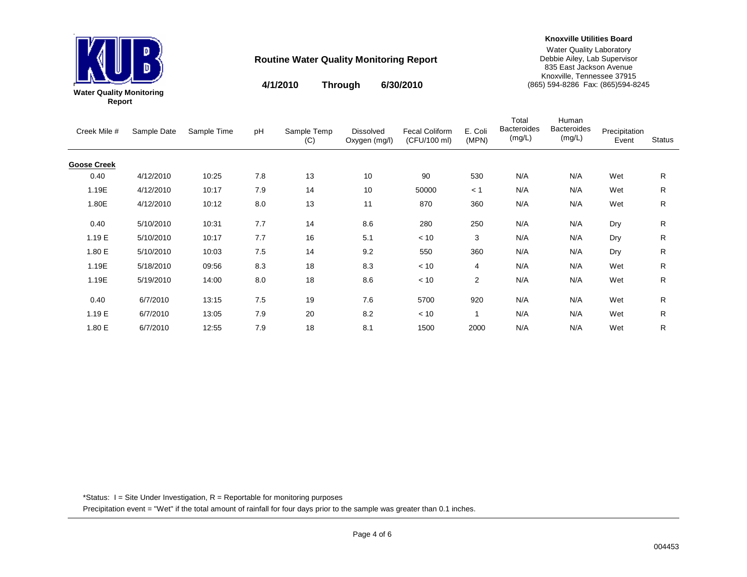

**Knoxville Utilities Board**

Water Quality Laboratory Debbie Ailey, Lab Supervisor 835 East Jackson Avenue Knoxville, Tennessee 37915 (865) 594-8286 Fax: (865)594-8245

**4/1/2010 6/30/2010Through**

| Creek Mile #       | Sample Date | Sample Time | pH  | Sample Temp<br>(C) | <b>Dissolved</b><br>Oxygen (mg/l) | <b>Fecal Coliform</b><br>(CFU/100 ml) | E. Coli<br>(MPN) | Total<br><b>Bacteroides</b><br>(mg/L) | Human<br><b>Bacteroides</b><br>(mg/L) | Precipitation<br>Event | <b>Status</b> |
|--------------------|-------------|-------------|-----|--------------------|-----------------------------------|---------------------------------------|------------------|---------------------------------------|---------------------------------------|------------------------|---------------|
| <b>Goose Creek</b> |             |             |     |                    |                                   |                                       |                  |                                       |                                       |                        |               |
| 0.40               | 4/12/2010   | 10:25       | 7.8 | 13                 | 10                                | 90                                    | 530              | N/A                                   | N/A                                   | Wet                    | R             |
| 1.19E              | 4/12/2010   | 10:17       | 7.9 | 14                 | 10                                | 50000                                 | < 1              | N/A                                   | N/A                                   | Wet                    | R             |
| 1.80E              | 4/12/2010   | 10:12       | 8.0 | 13                 | 11                                | 870                                   | 360              | N/A                                   | N/A                                   | Wet                    | R             |
| 0.40               | 5/10/2010   | 10:31       | 7.7 | 14                 | 8.6                               | 280                                   | 250              | N/A                                   | N/A                                   | Dry                    | R             |
| 1.19 E             | 5/10/2010   | 10:17       | 7.7 | 16                 | 5.1                               | < 10                                  | 3                | N/A                                   | N/A                                   | Dry                    | R             |
| 1.80 E             | 5/10/2010   | 10:03       | 7.5 | 14                 | 9.2                               | 550                                   | 360              | N/A                                   | N/A                                   | Dry                    | R             |
| 1.19E              | 5/18/2010   | 09:56       | 8.3 | 18                 | 8.3                               | < 10                                  | 4                | N/A                                   | N/A                                   | Wet                    | R             |
| 1.19E              | 5/19/2010   | 14:00       | 8.0 | 18                 | 8.6                               | < 10                                  | $\overline{c}$   | N/A                                   | N/A                                   | Wet                    | R             |
| 0.40               | 6/7/2010    | 13:15       | 7.5 | 19                 | 7.6                               | 5700                                  | 920              | N/A                                   | N/A                                   | Wet                    | R             |
| 1.19 E             | 6/7/2010    | 13:05       | 7.9 | 20                 | 8.2                               | < 10                                  | 1                | N/A                                   | N/A                                   | Wet                    | R.            |
| 1.80 E             | 6/7/2010    | 12:55       | 7.9 | 18                 | 8.1                               | 1500                                  | 2000             | N/A                                   | N/A                                   | Wet                    | R             |

\*Status: I = Site Under Investigation, R = Reportable for monitoring purposes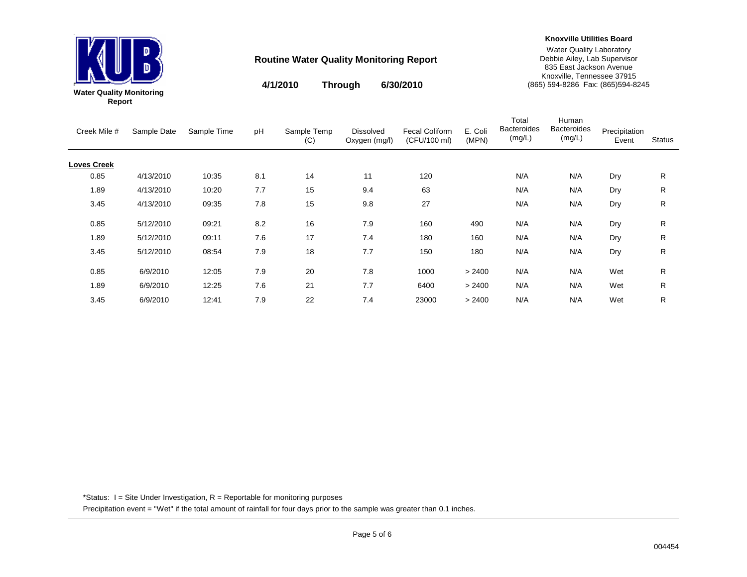

**4/1/2010 6/30/2010Through**

**Knoxville Utilities Board**

Water Quality Laboratory Debbie Ailey, Lab Supervisor 835 East Jackson Avenue Knoxville, Tennessee 37915 (865) 594-8286 Fax: (865)594-8245

| Creek Mile #       | Sample Date | Sample Time | pH  | Sample Temp<br>(C) | <b>Dissolved</b><br>Oxygen (mg/l) | Fecal Coliform<br>(CFU/100 ml) | E. Coli<br>(MPN) | Total<br><b>Bacteroides</b><br>(mg/L) | Human<br><b>Bacteroides</b><br>(mg/L) | Precipitation<br>Event | <b>Status</b> |
|--------------------|-------------|-------------|-----|--------------------|-----------------------------------|--------------------------------|------------------|---------------------------------------|---------------------------------------|------------------------|---------------|
| <b>Loves Creek</b> |             |             |     |                    |                                   |                                |                  |                                       |                                       |                        |               |
| 0.85               | 4/13/2010   | 10:35       | 8.1 | 14                 | 11                                | 120                            |                  | N/A                                   | N/A                                   | Dry                    | R             |
| 1.89               | 4/13/2010   | 10:20       | 7.7 | 15                 | 9.4                               | 63                             |                  | N/A                                   | N/A                                   | Dry                    | R             |
| 3.45               | 4/13/2010   | 09:35       | 7.8 | 15                 | 9.8                               | 27                             |                  | N/A                                   | N/A                                   | Dry                    | R             |
| 0.85               | 5/12/2010   | 09:21       | 8.2 | 16                 | 7.9                               | 160                            | 490              | N/A                                   | N/A                                   | Dry                    | R             |
| 1.89               | 5/12/2010   | 09:11       | 7.6 | 17                 | 7.4                               | 180                            | 160              | N/A                                   | N/A                                   | Dry                    | R.            |
| 3.45               | 5/12/2010   | 08:54       | 7.9 | 18                 | 7.7                               | 150                            | 180              | N/A                                   | N/A                                   | Dry                    | R.            |
| 0.85               | 6/9/2010    | 12:05       | 7.9 | 20                 | 7.8                               | 1000                           | > 2400           | N/A                                   | N/A                                   | Wet                    | R             |
| 1.89               | 6/9/2010    | 12:25       | 7.6 | 21                 | 7.7                               | 6400                           | > 2400           | N/A                                   | N/A                                   | Wet                    | R             |
| 3.45               | 6/9/2010    | 12:41       | 7.9 | 22                 | 7.4                               | 23000                          | > 2400           | N/A                                   | N/A                                   | Wet                    | R             |

\*Status: I = Site Under Investigation, R = Reportable for monitoring purposes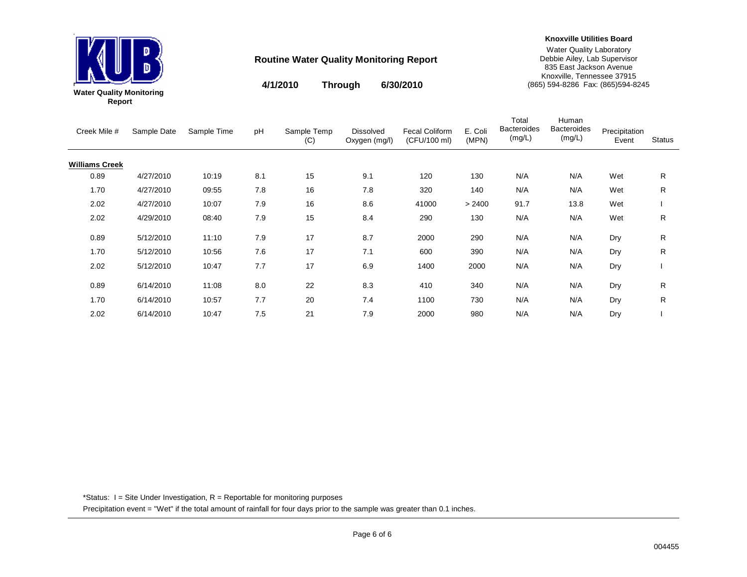

**Knoxville Utilities Board**

Water Quality Laboratory Debbie Ailey, Lab Supervisor 835 East Jackson Avenue Knoxville, Tennessee 37915 (865) 594-8286 Fax: (865)594-8245

**4/1/2010 6/30/2010Through**

|        | ter Quality Monitoring |
|--------|------------------------|
| Report |                        |

| Creek Mile #          | Sample Date | Sample Time | pH  | Sample Temp | <b>Dissolved</b> | <b>Fecal Coliform</b> | E. Coli | Total<br><b>Bacteroides</b> | Human<br><b>Bacteroides</b> | Precipitation |               |
|-----------------------|-------------|-------------|-----|-------------|------------------|-----------------------|---------|-----------------------------|-----------------------------|---------------|---------------|
|                       |             |             |     | (C)         | Oxygen (mg/l)    | (CFU/100 ml)          | (MPN)   | (mg/L)                      | (mg/L)                      | Event         | <b>Status</b> |
| <b>Williams Creek</b> |             |             |     |             |                  |                       |         |                             |                             |               |               |
| 0.89                  | 4/27/2010   | 10:19       | 8.1 | 15          | 9.1              | 120                   | 130     | N/A                         | N/A                         | Wet           | R             |
| 1.70                  | 4/27/2010   | 09:55       | 7.8 | 16          | 7.8              | 320                   | 140     | N/A                         | N/A                         | Wet           | R             |
| 2.02                  | 4/27/2010   | 10:07       | 7.9 | 16          | 8.6              | 41000                 | > 2400  | 91.7                        | 13.8                        | Wet           |               |
| 2.02                  | 4/29/2010   | 08:40       | 7.9 | 15          | 8.4              | 290                   | 130     | N/A                         | N/A                         | Wet           | R             |
| 0.89                  | 5/12/2010   | 11:10       | 7.9 | 17          | 8.7              | 2000                  | 290     | N/A                         | N/A                         | Dry           | R             |
| 1.70                  | 5/12/2010   | 10:56       | 7.6 | 17          | 7.1              | 600                   | 390     | N/A                         | N/A                         | Dry           | R             |
| 2.02                  | 5/12/2010   | 10:47       | 7.7 | 17          | 6.9              | 1400                  | 2000    | N/A                         | N/A                         | Dry           |               |
| 0.89                  | 6/14/2010   | 11:08       | 8.0 | 22          | 8.3              | 410                   | 340     | N/A                         | N/A                         | Dry           | R             |
| 1.70                  | 6/14/2010   | 10:57       | 7.7 | 20          | 7.4              | 1100                  | 730     | N/A                         | N/A                         | Dry           | R             |
| 2.02                  | 6/14/2010   | 10:47       | 7.5 | 21          | 7.9              | 2000                  | 980     | N/A                         | N/A                         | Dry           |               |

\*Status: I = Site Under Investigation, R = Reportable for monitoring purposes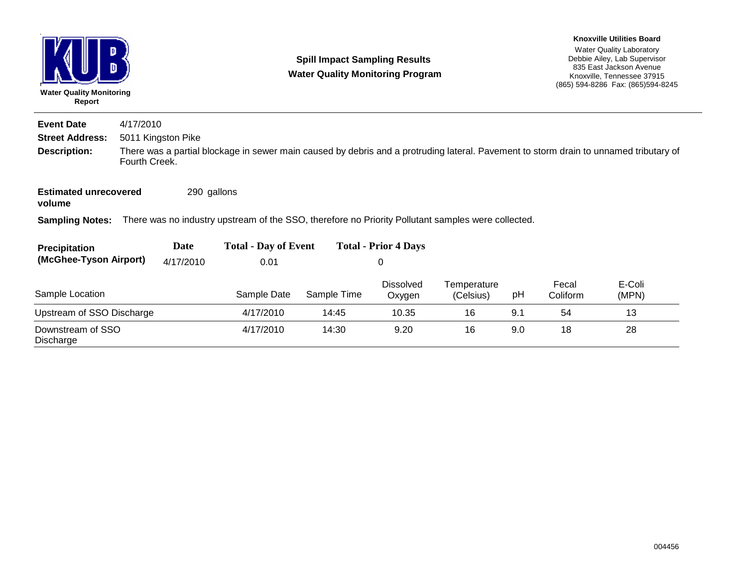| D<br><b>Water Quality Monitoring</b><br>Report |                                                                                                                                                        |                    | <b>Spill Impact Sampling Results</b><br><b>Water Quality Monitoring Program</b>                    |             | <b>Knoxville Utilities Board</b><br><b>Water Quality Laboratory</b><br>Debbie Ailey, Lab Supervisor<br>835 East Jackson Avenue<br>Knoxville, Tennessee 37915<br>(865) 594-8286 Fax: (865) 594-8245 |                          |     |                   |                 |  |  |
|------------------------------------------------|--------------------------------------------------------------------------------------------------------------------------------------------------------|--------------------|----------------------------------------------------------------------------------------------------|-------------|----------------------------------------------------------------------------------------------------------------------------------------------------------------------------------------------------|--------------------------|-----|-------------------|-----------------|--|--|
| <b>Event Date</b>                              | 4/17/2010                                                                                                                                              |                    |                                                                                                    |             |                                                                                                                                                                                                    |                          |     |                   |                 |  |  |
| <b>Street Address:</b>                         |                                                                                                                                                        | 5011 Kingston Pike |                                                                                                    |             |                                                                                                                                                                                                    |                          |     |                   |                 |  |  |
| <b>Description:</b>                            | There was a partial blockage in sewer main caused by debris and a protruding lateral. Pavement to storm drain to unnamed tributary of<br>Fourth Creek. |                    |                                                                                                    |             |                                                                                                                                                                                                    |                          |     |                   |                 |  |  |
| <b>Estimated unrecovered</b><br>volume         |                                                                                                                                                        | 290 gallons        |                                                                                                    |             |                                                                                                                                                                                                    |                          |     |                   |                 |  |  |
| <b>Sampling Notes:</b>                         |                                                                                                                                                        |                    | There was no industry upstream of the SSO, therefore no Priority Pollutant samples were collected. |             |                                                                                                                                                                                                    |                          |     |                   |                 |  |  |
| Precipitation                                  |                                                                                                                                                        | Date               | <b>Total - Day of Event</b>                                                                        |             | <b>Total - Prior 4 Days</b>                                                                                                                                                                        |                          |     |                   |                 |  |  |
| (McGhee-Tyson Airport)                         |                                                                                                                                                        | 4/17/2010          | 0.01                                                                                               |             | $\mathbf 0$                                                                                                                                                                                        |                          |     |                   |                 |  |  |
| Sample Location                                |                                                                                                                                                        |                    | Sample Date                                                                                        | Sample Time | <b>Dissolved</b><br>Oxygen                                                                                                                                                                         | Temperature<br>(Celsius) | pH  | Fecal<br>Coliform | E-Coli<br>(MPN) |  |  |
| Upstream of SSO Discharge                      |                                                                                                                                                        |                    | 4/17/2010                                                                                          | 14:45       | 10.35                                                                                                                                                                                              | 16                       | 9.1 | 54                | 13              |  |  |
| Downstream of SSO<br>Discharge                 |                                                                                                                                                        |                    | 4/17/2010                                                                                          | 14:30       | 9.20                                                                                                                                                                                               | 16                       | 9.0 | 18                | 28              |  |  |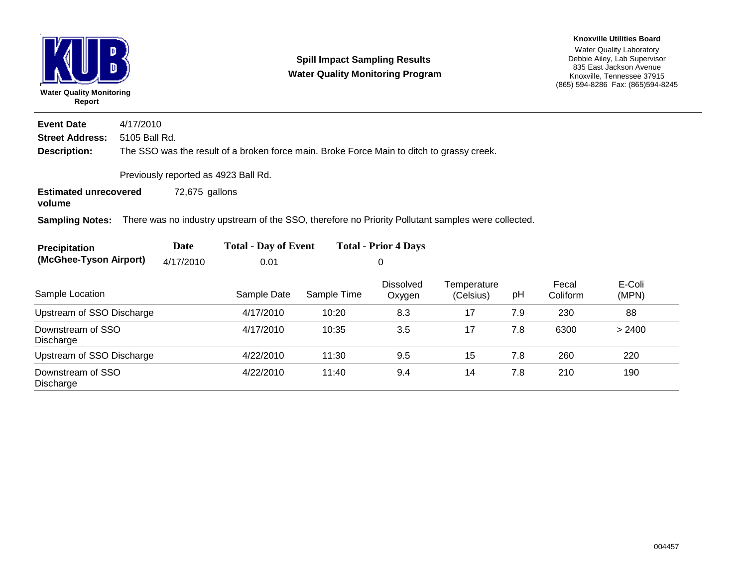

#### **Spill Impact Sampling Results Water Quality Monitoring Program**

Water Quality Laboratory Debbie Ailey, Lab Supervisor 835 East Jackson Avenue Knoxville, Tennessee 37915 (865) 594-8286 Fax: (865)594-8245 **Knoxville Utilities Board**

**Description:** The SSO was the result of a broken force main. Broke Force Main to ditch to grassy creek. **Street Address:** 5105 Ball Rd. **Event Date**4/17/2010

Previously reported as 4923 Ball Rd.

**Estimated unrecovered** 72,675 gallons

**volume**

**Sampling Notes:** There was no industry upstream of the SSO, therefore no Priority Pollutant samples were collected.

| Precipitation          | Date      | <b>Total - Day of Event</b> | <b>Total - Prior 4 Days</b> |
|------------------------|-----------|-----------------------------|-----------------------------|
| (McGhee-Tyson Airport) | 4/17/2010 | 0.01                        |                             |

| Sample Location                | Sample Date | Sample Time | <b>Dissolved</b><br>Oxygen | Temperature<br>(Celsius) | рH  | Fecal<br>Coliform | E-Coli<br>(MPN) |
|--------------------------------|-------------|-------------|----------------------------|--------------------------|-----|-------------------|-----------------|
| Upstream of SSO Discharge      | 4/17/2010   | 10:20       | 8.3                        | 17                       | 7.9 | 230               | 88              |
| Downstream of SSO<br>Discharge | 4/17/2010   | 10:35       | 3.5                        | 17                       | 7.8 | 6300              | > 2400          |
| Upstream of SSO Discharge      | 4/22/2010   | 11:30       | 9.5                        | 15                       | 7.8 | 260               | 220             |
| Downstream of SSO<br>Discharge | 4/22/2010   | 11:40       | 9.4                        | 14                       | 7.8 | 210               | 190             |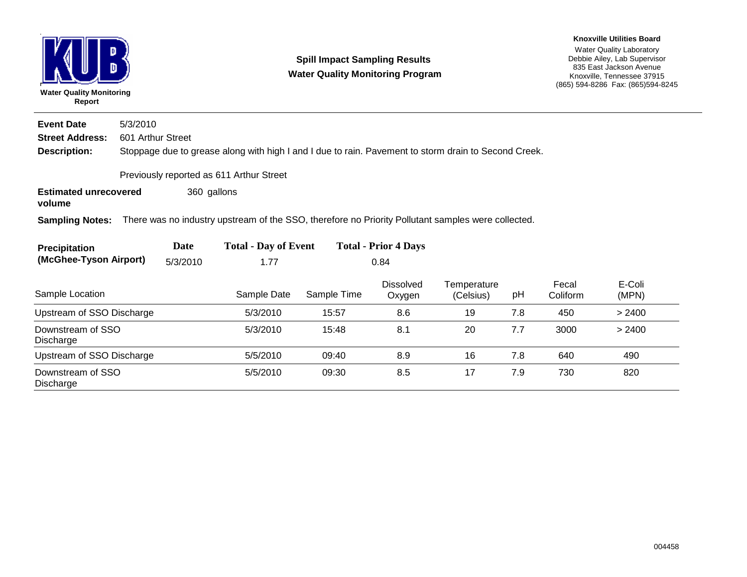| <b>Water Quality Monitoring</b><br>Report |                                                                                                      |             |                                                                                                    | <b>Spill Impact Sampling Results</b><br><b>Water Quality Monitoring Program</b> |                            | <b>Knoxville Utilities Board</b><br><b>Water Quality Laboratory</b><br>Debbie Ailey, Lab Supervisor<br>835 East Jackson Avenue<br>Knoxville, Tennessee 37915<br>(865) 594-8286 Fax: (865) 594-8245 |     |                   |                 |  |  |
|-------------------------------------------|------------------------------------------------------------------------------------------------------|-------------|----------------------------------------------------------------------------------------------------|---------------------------------------------------------------------------------|----------------------------|----------------------------------------------------------------------------------------------------------------------------------------------------------------------------------------------------|-----|-------------------|-----------------|--|--|
| <b>Event Date</b>                         | 5/3/2010                                                                                             |             |                                                                                                    |                                                                                 |                            |                                                                                                                                                                                                    |     |                   |                 |  |  |
| <b>Street Address:</b>                    | 601 Arthur Street                                                                                    |             |                                                                                                    |                                                                                 |                            |                                                                                                                                                                                                    |     |                   |                 |  |  |
| <b>Description:</b>                       | Stoppage due to grease along with high I and I due to rain. Pavement to storm drain to Second Creek. |             |                                                                                                    |                                                                                 |                            |                                                                                                                                                                                                    |     |                   |                 |  |  |
| Previously reported as 611 Arthur Street  |                                                                                                      |             |                                                                                                    |                                                                                 |                            |                                                                                                                                                                                                    |     |                   |                 |  |  |
| <b>Estimated unrecovered</b><br>volume    |                                                                                                      | 360 gallons |                                                                                                    |                                                                                 |                            |                                                                                                                                                                                                    |     |                   |                 |  |  |
| <b>Sampling Notes:</b>                    |                                                                                                      |             | There was no industry upstream of the SSO, therefore no Priority Pollutant samples were collected. |                                                                                 |                            |                                                                                                                                                                                                    |     |                   |                 |  |  |
| <b>Precipitation</b>                      |                                                                                                      | Date        | <b>Total - Day of Event</b><br><b>Total - Prior 4 Days</b>                                         |                                                                                 |                            |                                                                                                                                                                                                    |     |                   |                 |  |  |
| (McGhee-Tyson Airport)                    |                                                                                                      | 5/3/2010    | 1.77                                                                                               |                                                                                 | 0.84                       |                                                                                                                                                                                                    |     |                   |                 |  |  |
| Sample Location                           |                                                                                                      |             | Sample Date                                                                                        | Sample Time                                                                     | <b>Dissolved</b><br>Oxygen | Temperature<br>(Celsius)                                                                                                                                                                           | pH  | Fecal<br>Coliform | E-Coli<br>(MPN) |  |  |
| Upstream of SSO Discharge                 |                                                                                                      |             | 5/3/2010                                                                                           | 15:57                                                                           | 8.6                        | 19                                                                                                                                                                                                 | 7.8 | 450               | > 2400          |  |  |
| Downstream of SSO<br>Discharge            |                                                                                                      |             | 5/3/2010                                                                                           | 15:48                                                                           | 8.1                        | 20                                                                                                                                                                                                 | 7.7 | 3000              | > 2400          |  |  |
| Upstream of SSO Discharge                 |                                                                                                      |             | 5/5/2010                                                                                           | 09:40                                                                           | 8.9                        | 16                                                                                                                                                                                                 | 7.8 | 640               | 490             |  |  |
| Downstream of SSO<br>Discharge            |                                                                                                      |             | 5/5/2010                                                                                           | 09:30                                                                           | 8.5                        | 17                                                                                                                                                                                                 | 7.9 | 730               | 820             |  |  |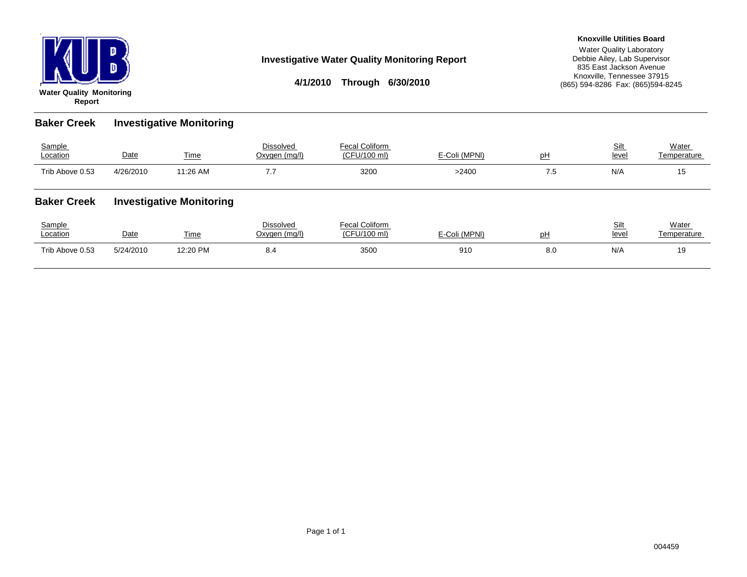

#### **Investigative Water Quality Monitoring Report**

**4/1/2010 Through 6/30/2010**

#### **Knoxville Utilities Board**

Water Quality Laboratory Debbie Ailey, Lab Supervisor 835 East Jackson Avenue Knoxville, Tennessee 37915 (865) 594-8286 Fax: (865)594-8245

**Baker Creek Investigative Monitoring**

| Sample<br>Location | Date                            | <b>Time</b> | <b>Dissolved</b><br>Oxygen (mg/l) | <b>Fecal Coliform</b><br>(CFU/100 ml) | E-Coli (MPNI) | pH  | Silt<br>level | Water<br>Temperature |
|--------------------|---------------------------------|-------------|-----------------------------------|---------------------------------------|---------------|-----|---------------|----------------------|
| Trib Above 0.53    | 4/26/2010                       | 11:26 AM    | 7.7                               | 3200                                  | >2400         | 7.5 | N/A           | 15                   |
| <b>Baker Creek</b> | <b>Investigative Monitoring</b> |             |                                   |                                       |               |     |               |                      |
| Sample             |                                 |             | <b>Dissolved</b>                  | <b>Fecal Coliform</b>                 |               |     | Silt          | Water                |

| Sample<br>Location | Date      | -<br><b>fime</b> | Dissolved<br>Oxvaen (ma/l) | <sup>1</sup> Coliform<br>-acol C<br>(CFU/100 ml) | (MPNI) | рŀ  | <b>Cil</b><br>◡┉<br>leve | Water<br><b>Femperature</b> |
|--------------------|-----------|------------------|----------------------------|--------------------------------------------------|--------|-----|--------------------------|-----------------------------|
| Trib Above 0.53    | 5/24/2010 | 19.90 PM         | ∪.¬                        | 3500                                             | 910    | ช.บ | N/A                      | ιc                          |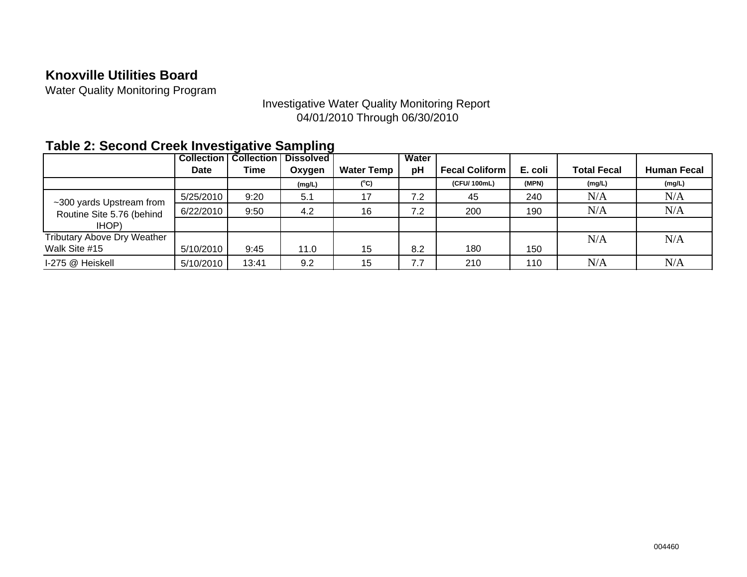### **Knoxville Utilities Board**

Water Quality Monitoring Program

### Investigative Water Quality Monitoring Report 04/01/2010 Through 06/30/2010

### **Table 2: Second Creek Investigative Sampling**

|                                    | <b>Collection</b> | <b>Collection</b> | <b>Dissolved</b> |                   | Water |                       |         |                    |                    |
|------------------------------------|-------------------|-------------------|------------------|-------------------|-------|-----------------------|---------|--------------------|--------------------|
|                                    | <b>Date</b>       | Time              | Oxygen           | <b>Water Temp</b> | рH    | <b>Fecal Coliform</b> | E. coli | <b>Total Fecal</b> | <b>Human Fecal</b> |
|                                    |                   |                   | (mg/L)           | $(^{\circ}C)$     |       | (CFU/100mL)           | (MPN)   | (mg/L)             | (mg/L)             |
| ~300 yards Upstream from           | 5/25/2010         | 9:20              | 5.1              | 17                | 7.2   | 45                    | 240     | N/A                | N/A                |
| Routine Site 5.76 (behind          | 6/22/2010         | 9:50              | 4.2              | 16                | 7.2   | 200                   | 190     | N/A                | N/A                |
| IHOP)                              |                   |                   |                  |                   |       |                       |         |                    |                    |
| <b>Tributary Above Dry Weather</b> |                   |                   |                  |                   |       |                       |         | N/A                | N/A                |
| Walk Site #15                      | 5/10/2010         | 9:45              | 11.0             | 15                | 8.2   | 180                   | 150     |                    |                    |
| I-275 @ Heiskell                   | 5/10/2010         | 13:41             | 9.2              | 15                | 7.7   | 210                   | 110     | N/A                | N/A                |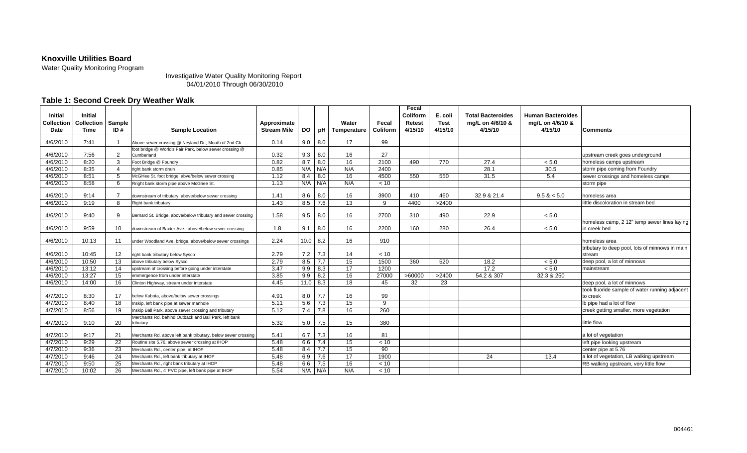#### **Knoxville Utilities Board**

Water Quality Monitoring Program

Investigative Water Quality Monitoring Report 04/01/2010 Through 06/30/2010

#### **Table 1: Second Creek Dry Weather Walk**

| <b>Initial</b> | <b>Initial</b>    |                |                                                                       |                    |            |     |                 |          | Fecal<br>Coliform | E. coli     | <b>Total Bacteroides</b> | <b>Human Bacteroides</b> |                                                              |
|----------------|-------------------|----------------|-----------------------------------------------------------------------|--------------------|------------|-----|-----------------|----------|-------------------|-------------|--------------------------|--------------------------|--------------------------------------------------------------|
| Collection     | <b>Collection</b> | Sample         |                                                                       | Approximate        |            |     | Water           | Fecal    | <b>Retest</b>     | <b>Test</b> | mg/L on 4/6/10 &         | mg/L on 4/6/10 &         |                                                              |
| Date           | <b>Time</b>       | ID#            | <b>Sample Location</b>                                                | <b>Stream Mile</b> | <b>DO</b>  | pH  | Temperature     | Coliform | 4/15/10           | 4/15/10     | 4/15/10                  | 4/15/10                  | <b>Comments</b>                                              |
|                |                   |                |                                                                       |                    |            |     |                 |          |                   |             |                          |                          |                                                              |
| 4/6/2010       | 7:41              |                | Above sewer crossing @ Neyland Dr., Mouth of 2nd Ck                   | 0.14               | 9.0        | 8.0 | 17              | 99       |                   |             |                          |                          |                                                              |
| 4/6/2010       | 7:56              | 2              | foot bridge @ World's Fair Park, below sewer crossing @<br>Cumberland | 0.32               | 9.3        | 8.0 | 16              | 27       |                   |             |                          |                          | upstream creek goes underground                              |
| 4/6/2010       | 8:20              | 3              | Foot Bridge @ Foundry                                                 | 0.82               | 8.7        | 8.0 | 16              | 2100     | 490               | 770         | 27.4                     | < 5.0                    | homeless camps upstream                                      |
| 4/6/2010       | 8:35              | $\overline{a}$ | right bank storm drain                                                | 0.85               | N/A        | N/A | N/A             | 2400     |                   |             | 28.1                     | 30.5                     | storm pipe coming from Foundry                               |
| 4/6/2010       | 8:51              | 5              | McGHee St. foot bridge, abve/below sewer crossing                     | 1.12               | 8.4        | 8.0 | 16              | 4500     | 550               | 550         | 31.5                     | 5.4                      | sewer crossings and homeless camps                           |
| 4/6/2010       | 8:58              | 6              | Rright bank storm pipe above McGhee St.                               | 1.13               | N/A        | N/A | N/A             | < 10     |                   |             |                          |                          | storm pipe                                                   |
| 4/6/2010       | 9:14              | $\overline{7}$ | downstream of tributary, above/below sewer crossing                   | 1.41               | 8.6        | 8.0 | 16              | 3900     | 410               | 460         | 32.9 & 21.4              | 9.5 < 5.0                | homeless area                                                |
| 4/6/2010       | 9:19              | 8              | Right bank tributary                                                  | 1.43               | 8.5        | 7.6 | 13              | -9       | 4400              | >2400       |                          |                          | little discoloration in stream bed                           |
| 4/6/2010       | 9:40              | 9              | Bernard St. Bridge, above/below tributary and sewer crossing          | 1.58               | 9.5        | 8.0 | 16              | 2700     | 310               | 490         | 22.9                     | < 5.0                    |                                                              |
| 4/6/2010       | 9:59              | 10             | downstream of Baxter Ave., above/below sewer crossing                 | 1.8                | 9.1        | 8.0 | 16              | 2200     | 160               | 280         | 26.4                     | < 5.0                    | homeless camp, 2 12" temp sewer lines laying<br>in creek bed |
| 4/6/2010       | 10:13             | 11             | under Woodland Ave. bridge, above/below sewer crossings               | 2.24               | $10.0$ 8.2 |     | 16              | 910      |                   |             |                          |                          | homeless area                                                |
| 4/6/2010       | 10:45             | 12             | right bank tributary below Sysco                                      | 2.79               | 7.2        | 7.3 | 14              | < 10     |                   |             |                          |                          | tributary to deep pool, lots of minnows in main<br>stream    |
| 4/6/2010       | 10:50             | 13             | above tributary below Sysco                                           | 2.79               | 8.5        | 7.7 | 15              | 1500     | 360               | 520         | 18.2                     | < 5.0                    | deep pool, a lot of minnows                                  |
| 4/6/2010       | 13:12             | 14             | upstream of crossing before going under interstate                    | 3.47               | 9.9        | 8.3 | $\overline{17}$ | 1200     |                   |             | 17.2                     | < 5.0                    | mainstream                                                   |
| 4/6/2010       | 13:27             | 15             | emmergence from under interstate                                      | 3.85               | 9.9        | 8.2 | 16              | 27000    | >60000            | >2400       | 54.2 & 307               | 32.3 & 250               |                                                              |
| 4/6/2010       | 14:00             | 16             | Clinton Highway, stream under interstate                              | 4.45               | $11.0$ 8.3 |     | 18              | 45       | 32                | 23          |                          |                          | deep pool, a lot of minnows                                  |
| 4/7/2010       | 8:30              | 17             | below Kubota, above/below sewer crossings                             | 4.91               | 8.0        | 7.7 | 16              | 99       |                   |             |                          |                          | took fluoride sample of water running adjacent<br>to creek   |
| 4/7/2010       | 8:40              | 18             | Inskip, left bank pipe at sewer manhole                               | 5.11               | 5.6        | 7.3 | 15              | -9       |                   |             |                          |                          | Ib pipe had a lot of flow                                    |
| 4/7/2010       | 8:56              | 19             | Inskip Ball Park, above sewer crossing and tributary                  | 5.12               | 7.4        | 7.8 | 16              | 260      |                   |             |                          |                          | creek getting smaller, more vegetation                       |
| 4/7/2010       | 9:10              | 20             | Merchants Rd, behind Outback and Ball Park, left bank<br>tributary    | 5.32               | 5.0        | 7.5 | 15              | 380      |                   |             |                          |                          | little flow                                                  |
| 4/7/2010       | 9:17              | 21             | Merchants Rd. above left bank tributary, below sewer crossing         | 5.41               | 6.7        | 7.3 | 16              | 81       |                   |             |                          |                          | a lot of vegetation                                          |
| 4/7/2010       | 9:29              | 22             | Routine site 5.76, above sewer crossing at IHOP                       | 5.48               | 6.6        | 7.4 | 15              | < 10     |                   |             |                          |                          | left pipe looking upstream                                   |
| 4/7/2010       | 9:36              | 23             | Merchants Rd., center pipe, at IHOP                                   | 5.48               | 8.4        | 7.7 | 15              | 90       |                   |             |                          |                          | center pipe at 5.76                                          |
| 4/7/2010       | 9:46              | 24             | Merchants Rd., left bank tributary at IHOP                            | 5.48               | 6.9        | 7.6 | 17              | 1900     |                   |             | 24                       | 13.4                     | a lot of vegetation, LB walking upstream                     |
| 4/7/2010       | 9:50              | 25             | Merchants Rd., right bank tributary at IHOP                           | 5.48               | 6.6        | 7.5 | 16              | < 10     |                   |             |                          |                          | RB walking upstream, very little flow                        |
| 4/7/2010       | 10:02             | 26             | Merchants Rd., 4' PVC pipe, left bank pipe at IHOP                    | 5.54               | N/A        | N/A | N/A             | < 10     |                   |             |                          |                          |                                                              |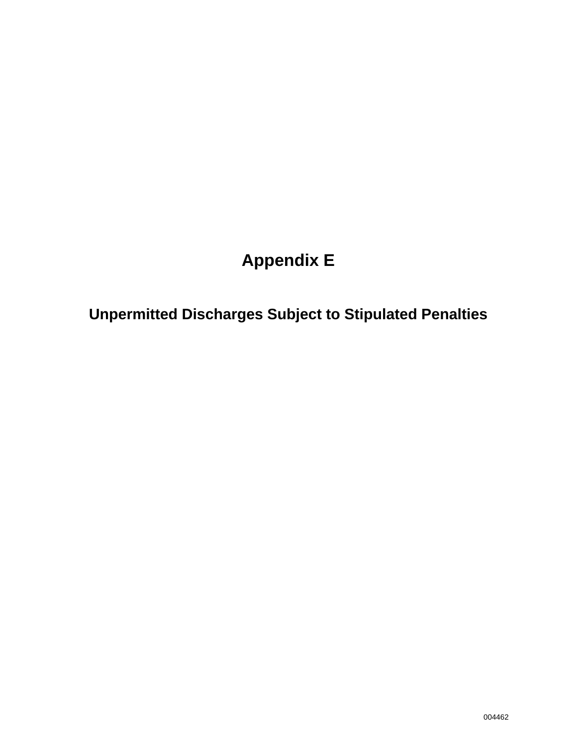# **Appendix E**

**Unpermitted Discharges Subject to Stipulated Penalties**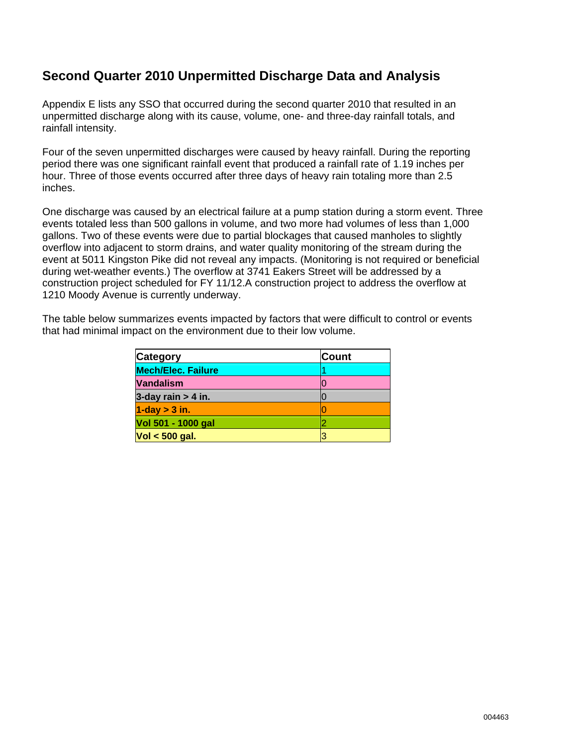### **Second Quarter 2010 Unpermitted Discharge Data and Analysis**

Appendix E lists any SSO that occurred during the second quarter 2010 that resulted in an unpermitted discharge along with its cause, volume, one- and three-day rainfall totals, and rainfall intensity.

Four of the seven unpermitted discharges were caused by heavy rainfall. During the reporting period there was one significant rainfall event that produced a rainfall rate of 1.19 inches per hour. Three of those events occurred after three days of heavy rain totaling more than 2.5 inches.

One discharge was caused by an electrical failure at a pump station during a storm event. Three events totaled less than 500 gallons in volume, and two more had volumes of less than 1,000 gallons. Two of these events were due to partial blockages that caused manholes to slightly overflow into adjacent to storm drains, and water quality monitoring of the stream during the event at 5011 Kingston Pike did not reveal any impacts. (Monitoring is not required or beneficial during wet-weather events.) The overflow at 3741 Eakers Street will be addressed by a construction project scheduled for FY 11/12.A construction project to address the overflow at 1210 Moody Avenue is currently underway.

The table below summarizes events impacted by factors that were difficult to control or events that had minimal impact on the environment due to their low volume.

| <b>Category</b>           | <b>Count</b> |
|---------------------------|--------------|
| <b>Mech/Elec. Failure</b> |              |
| <b>Vandalism</b>          |              |
| 3-day rain $> 4$ in.      |              |
| $1$ -day $>$ 3 in.        |              |
| Vol 501 - 1000 gal        |              |
| $Vol < 500$ gal.          |              |